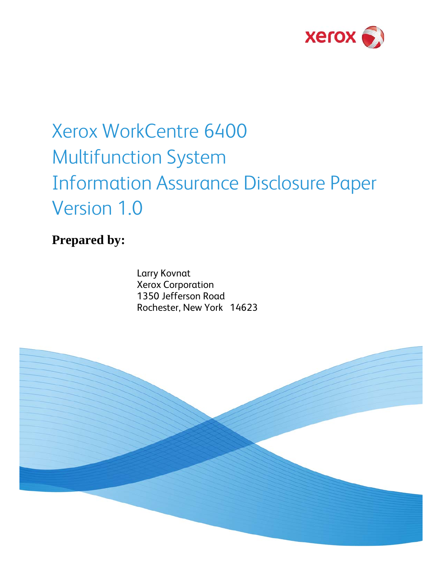

## Xerox WorkCentre 6400 Multifunction System Information Assurance Disclosure Paper Version 1.0

**Prepared by:** 

Larry Kovnat Xerox Corporation 1350 Jefferson Road Rochester, New York 14623

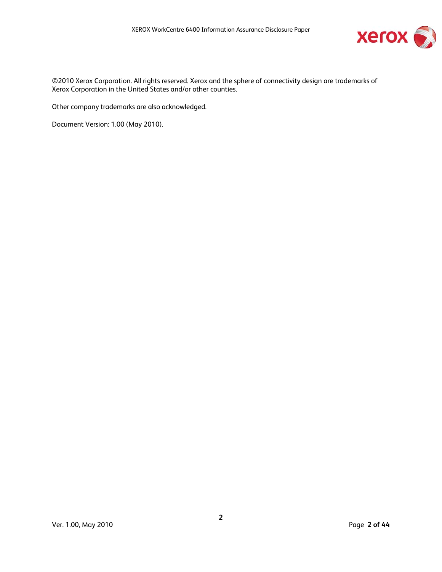

©2010 Xerox Corporation. All rights reserved. Xerox and the sphere of connectivity design are trademarks of Xerox Corporation in the United States and/or other counties.

Other company trademarks are also acknowledged.

Document Version: 1.00 (May 2010).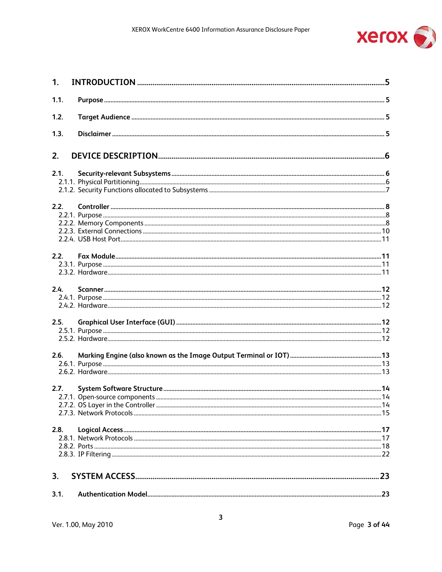

| 1.   |  |
|------|--|
| 1.1. |  |
| 1.2. |  |
| 1.3. |  |
| 2.   |  |
| 2.1. |  |
|      |  |
|      |  |
| 2.2. |  |
|      |  |
|      |  |
|      |  |
|      |  |
| 2.2. |  |
|      |  |
|      |  |
| 2.4. |  |
|      |  |
|      |  |
| 2.5. |  |
|      |  |
|      |  |
| 2.6. |  |
|      |  |
|      |  |
| 2.7. |  |
|      |  |
|      |  |
|      |  |
| 2.8. |  |
|      |  |
|      |  |
|      |  |
| 3.   |  |
|      |  |
| 3.1. |  |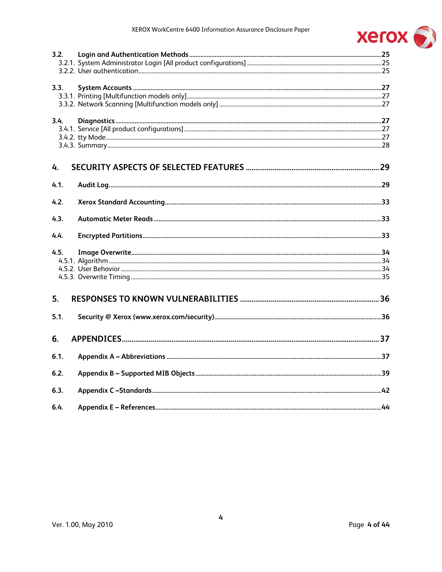

| 3.2. |  |
|------|--|
|      |  |
|      |  |
| 3.3. |  |
|      |  |
|      |  |
|      |  |
| 3.4. |  |
|      |  |
|      |  |
|      |  |
| 4.   |  |
| 4.1. |  |
| 4.2. |  |
| 4.3. |  |
| 4.4. |  |
| 4.5. |  |
|      |  |
|      |  |
|      |  |
| 5.   |  |
|      |  |
| 5.1. |  |
| 6.   |  |
| 6.1. |  |
|      |  |
| 6.2. |  |
| 6.3. |  |
| 6.4. |  |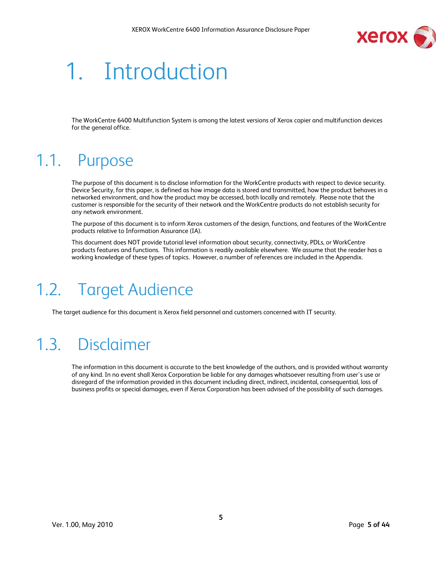

# 1. Introduction

The WorkCentre 6400 Multifunction System is among the latest versions of Xerox copier and multifunction devices for the general office.

### 1.1. Purpose

The purpose of this document is to disclose information for the WorkCentre products with respect to device security. Device Security, for this paper, is defined as how image data is stored and transmitted, how the product behaves in a networked environment, and how the product may be accessed, both locally and remotely. Please note that the customer is responsible for the security of their network and the WorkCentre products do not establish security for any network environment.

The purpose of this document is to inform Xerox customers of the design, functions, and features of the WorkCentre products relative to Information Assurance (IA).

This document does NOT provide tutorial level information about security, connectivity, PDLs, or WorkCentre products features and functions. This information is readily available elsewhere. We assume that the reader has a working knowledge of these types of topics. However, a number of references are included in the Appendix.

### 1.2. Target Audience

The target audience for this document is Xerox field personnel and customers concerned with IT security.

### 1.3. Disclaimer

The information in this document is accurate to the best knowledge of the authors, and is provided without warranty of any kind. In no event shall Xerox Corporation be liable for any damages whatsoever resulting from user's use or disregard of the information provided in this document including direct, indirect, incidental, consequential, loss of business profits or special damages, even if Xerox Corporation has been advised of the possibility of such damages.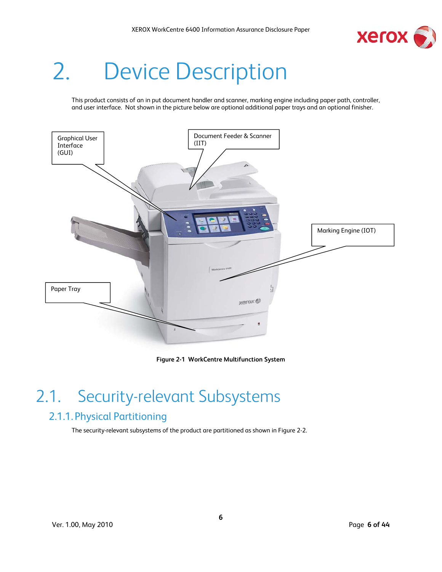

# 2. Device Description

This product consists of an in put document handler and scanner, marking engine including paper path, controller, and user interface. Not shown in the picture below are optional additional paper trays and an optional finisher.



#### **Figure 2-1 WorkCentre Multifunction System**

### 2.1. Security-relevant Subsystems

#### 2.1.1. Physical Partitioning

The security-relevant subsystems of the product are partitioned as shown in Figure 2-2.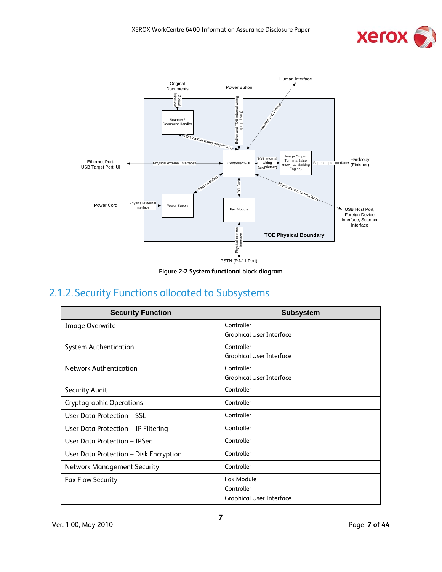





#### 2.1.2. Security Functions allocated to Subsystems

| <b>Security Function</b>               | <b>Subsystem</b>                |
|----------------------------------------|---------------------------------|
| <b>Image Overwrite</b>                 | Controller                      |
|                                        | <b>Graphical User Interface</b> |
| <b>System Authentication</b>           | Controller                      |
|                                        | <b>Graphical User Interface</b> |
| <b>Network Authentication</b>          | Controller                      |
|                                        | <b>Graphical User Interface</b> |
| <b>Security Audit</b>                  | Controller                      |
| <b>Cryptographic Operations</b>        | Controller                      |
| User Data Protection - SSL             | Controller                      |
| User Data Protection - IP Filtering    | Controller                      |
| User Data Protection - IPSec           | Controller                      |
| User Data Protection - Disk Encryption | Controller                      |
| <b>Network Management Security</b>     | Controller                      |
| <b>Fax Flow Security</b>               | Fax Module                      |
|                                        | Controller                      |
|                                        | <b>Graphical User Interface</b> |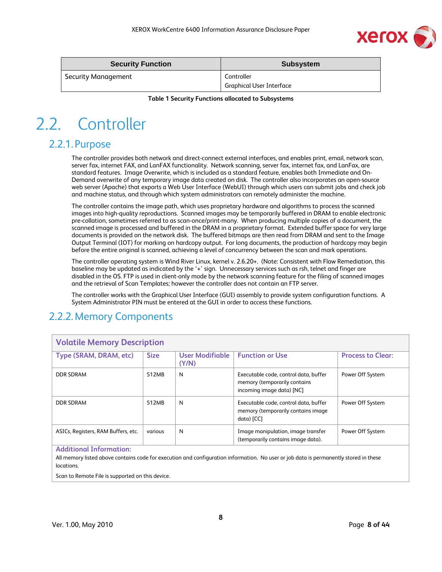

| <b>Security Function</b>   | <b>Subsystem</b>         |
|----------------------------|--------------------------|
| <b>Security Management</b> | Controller               |
|                            | Graphical User Interface |

**Table 1 Security Functions allocated to Subsystems** 

### 2.2. Controller

#### 2.2.1.Purpose

The controller provides both network and direct-connect external interfaces, and enables print, email, network scan, server fax, internet FAX, and LanFAX functionality. Network scanning, server fax, internet fax, and LanFax, are standard features. Image Overwrite, which is included as a standard feature, enables both Immediate and On-Demand overwrite of any temporary image data created on disk. The controller also incorporates an open-source web server (Apache) that exports a Web User Interface (WebUI) through which users can submit jobs and check job and machine status, and through which system administrators can remotely administer the machine.

The controller contains the image path, which uses proprietary hardware and algorithms to process the scanned images into high-quality reproductions. Scanned images may be temporarily buffered in DRAM to enable electronic pre-collation, sometimes referred to as scan-once/print-many. When producing multiple copies of a document, the scanned image is processed and buffered in the DRAM in a proprietary format. Extended buffer space for very large documents is provided on the network disk. The buffered bitmaps are then read from DRAM and sent to the Image Output Terminal (IOT) for marking on hardcopy output. For long documents, the production of hardcopy may begin before the entire original is scanned, achieving a level of concurrency between the scan and mark operations.

The controller operating system is Wind River Linux, kernel v. 2.6.20+. (Note: Consistent with Flaw Remediation, this baseline may be updated as indicated by the '+' sign. Unnecessary services such as rsh, telnet and finger are disabled in the OS. FTP is used in client-only mode by the network scanning feature for the filing of scanned images and the retrieval of Scan Templates; however the controller does not contain an FTP server.

The controller works with the Graphical User Interface (GUI) assembly to provide system configuration functions. A System Administrator PIN must be entered at the GUI in order to access these functions.

#### 2.2.2.Memory Components

| <b>Volatile Memory Description</b>  |             |                          |                                                                                                    |                          |  |  |
|-------------------------------------|-------------|--------------------------|----------------------------------------------------------------------------------------------------|--------------------------|--|--|
| Type (SRAM, DRAM, etc)              | <b>Size</b> | User Modifiable<br>(Y/N) | <b>Function or Use</b>                                                                             | <b>Process to Clear:</b> |  |  |
| DDR SDRAM                           | 512MB       | N                        | Executable code, control data, buffer<br>memory (temporarily contains<br>incoming image data) [NC] | Power Off System         |  |  |
| <b>DDR SDRAM</b>                    | 512MB       | N                        | Executable code, control data, buffer<br>memory (temporarily contains image<br>data) [CC]          | Power Off System         |  |  |
| ASICs, Registers, RAM Buffers, etc. | various     | N                        | Image manipulation, image transfer<br>(temporarily contains image data).                           | Power Off System         |  |  |
| <b>Additional Information:</b>      |             |                          |                                                                                                    |                          |  |  |

#### All memory listed above contains code for execution and configuration information. No user or job data is permanently stored in these locations.

Scan to Remote File is supported on this device.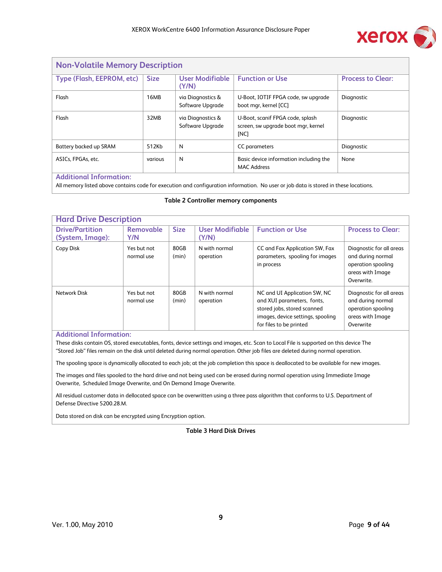

| <b>Non-Volatile Memory Description</b>                                                                     |             |                                       |                                                                                 |                          |  |
|------------------------------------------------------------------------------------------------------------|-------------|---------------------------------------|---------------------------------------------------------------------------------|--------------------------|--|
| Type (Flash, EEPROM, etc)                                                                                  | <b>Size</b> | User Modifiable<br>(Y/N)              | <b>Function or Use</b>                                                          | <b>Process to Clear:</b> |  |
| Flash                                                                                                      | 16MB        | via Diagnostics &<br>Software Upgrade | U-Boot, IOTIF FPGA code, sw upgrade<br>boot mgr, kernel [CC]                    | Diagnostic               |  |
| Flash                                                                                                      | 32MB        | via Diagnostics &<br>Software Upgrade | U-Boot, scanif FPGA code, splash<br>screen, sw upgrade boot mgr, kernel<br>[NC] | Diagnostic               |  |
| Battery backed up SRAM                                                                                     | 512Kb       | N                                     | CC parameters                                                                   | Diagnostic               |  |
| N<br>ASICs, FPGAs, etc.<br>None<br>Basic device information including the<br>various<br><b>MAC Address</b> |             |                                       |                                                                                 |                          |  |
| <b>Additional Information:</b>                                                                             |             |                                       |                                                                                 |                          |  |

All memory listed above contains code for execution and configuration information. No user or job data is stored in these locations.

#### **Table 2 Controller memory components**

| <b>Hard Drive Description</b>              |                           |               |                                 |                                                                                                                                                           |                                                                                                       |  |
|--------------------------------------------|---------------------------|---------------|---------------------------------|-----------------------------------------------------------------------------------------------------------------------------------------------------------|-------------------------------------------------------------------------------------------------------|--|
| <b>Drive/Partition</b><br>(System, Image): | <b>Removable</b><br>Y/N   | <b>Size</b>   | <b>User Modifiable</b><br>(Y/N) | <b>Function or Use</b>                                                                                                                                    | <b>Process to Clear:</b>                                                                              |  |
| Copy Disk                                  | Yes but not<br>normal use | 80GB<br>(min) | N with normal<br>operation      | CC and Fax Application SW, Fax<br>parameters, spooling for images<br>in process                                                                           | Diagnostic for all areas<br>and during normal<br>operation spooling<br>areas with Image<br>Overwrite. |  |
| Network Disk                               | Yes but not<br>normal use | 80GB<br>(min) | N with normal<br>operation      | NC and UI Application SW, NC<br>and XUI parameters, fonts,<br>stored jobs, stored scanned<br>images, device settings, spooling<br>for files to be printed | Diagnostic for all areas<br>and during normal<br>operation spooling<br>areas with Image<br>Overwrite  |  |

#### **Additional Information:**

These disks contain OS, stored executables, fonts, device settings and images, etc. Scan to Local File is supported on this device The "Stored Job" files remain on the disk until deleted during normal operation. Other job files are deleted during normal operation.

The spooling space is dynamically allocated to each job; at the job completion this space is deallocated to be available for new images.

The images and files spooled to the hard drive and not being used can be erased during normal operation using Immediate Image Overwrite, Scheduled Image Overwrite, and On Demand Image Overwrite.

All residual customer data in dellocated space can be overwritten using a three pass algorithm that conforms to U.S. Department of Defense Directive 5200.28.M.

Data stored on disk can be encrypted using Encryption option.

#### **Table 3 Hard Disk Drives**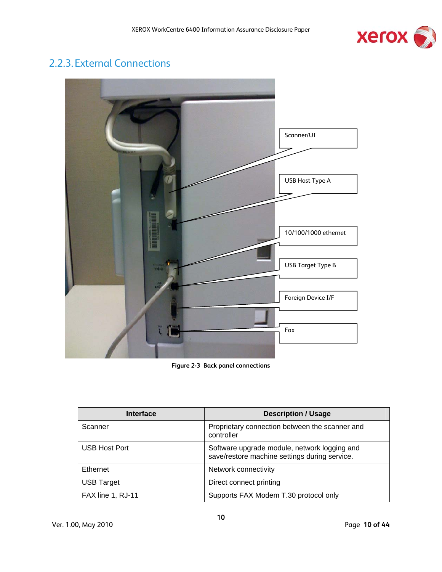

#### 2.2.3.External Connections



**Figure 2-3 Back panel connections** 

| <b>Interface</b>  | <b>Description / Usage</b>                                                                    |
|-------------------|-----------------------------------------------------------------------------------------------|
| Scanner           | Proprietary connection between the scanner and<br>controller                                  |
| USB Host Port     | Software upgrade module, network logging and<br>save/restore machine settings during service. |
| Ethernet          | Network connectivity                                                                          |
| <b>USB Target</b> | Direct connect printing                                                                       |
| FAX line 1, RJ-11 | Supports FAX Modem T.30 protocol only                                                         |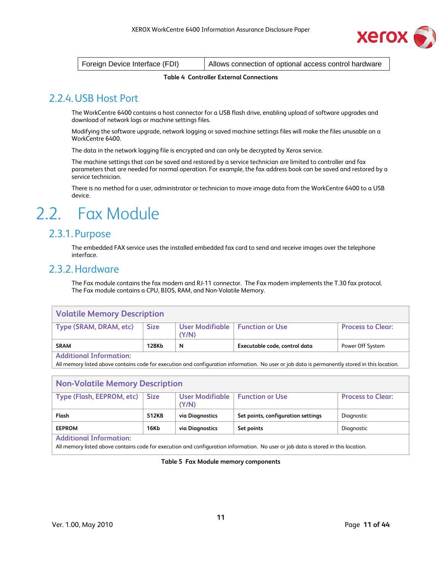

| Foreign Device Interface (FDI) | Allows connection of optional access control hardware |
|--------------------------------|-------------------------------------------------------|
|--------------------------------|-------------------------------------------------------|

#### **Table 4 Controller External Connections**

#### 2.2.4.USB Host Port

The WorkCentre 6400 contains a host connector for a USB flash drive, enabling upload of software upgrades and download of network logs or machine settings files.

Modifying the software upgrade, network logging or saved machine settings files will make the files unusable on a WorkCentre 6400.

The data in the network logging file is encrypted and can only be decrypted by Xerox service.

The machine settings that can be saved and restored by a service technician are limited to controller and fax parameters that are needed for normal operation. For example, the fax address book can be saved and restored by a service technician.

There is no method for a user, administrator or technician to move image data from the WorkCentre 6400 to a USB device.

### 2.2. Fax Module

#### 2.3.1. Purpose

The embedded FAX service uses the installed embedded fax card to send and receive images over the telephone interface.

#### 2.3.2.Hardware

The Fax module contains the fax modem and RJ-11 connector. The Fax modem implements the T.30 fax protocol. The Fax module contains a CPU, BIOS, RAM, and Non-Volatile Memory.

#### **Volatile Memory Description**

| Type (SRAM, DRAM, etc) | <b>Size</b> | User Modifiable   Function or Use |                               | <b>Process to Clear:</b> |  |
|------------------------|-------------|-----------------------------------|-------------------------------|--------------------------|--|
|                        |             |                                   |                               |                          |  |
|                        |             | (Y/N)                             |                               |                          |  |
|                        |             |                                   |                               |                          |  |
| <b>SRAM</b>            | 128Kb       | N                                 | Executable code, control data | Power Off System         |  |
| .<br>.                 |             |                                   |                               |                          |  |

#### **Additional Information:**

All memory listed above contains code for execution and configuration information. No user or job data is permanently stored in this location.

| <b>Non-Volatile Memory Description</b>                                                                     |       |                 |                                    |            |  |  |  |
|------------------------------------------------------------------------------------------------------------|-------|-----------------|------------------------------------|------------|--|--|--|
| Type (Flash, EEPROM, etc)   Size<br>User Modifiable   Function or Use<br><b>Process to Clear:</b><br>(Y/N) |       |                 |                                    |            |  |  |  |
| Flash                                                                                                      | 512KB | via Diagnostics | Set points, configuration settings | Diagnostic |  |  |  |
| <b>16Kb</b><br><b>EEPROM</b><br>via Diagnostics<br>Set points<br>Diagnostic                                |       |                 |                                    |            |  |  |  |
| <b>Additional Information:</b>                                                                             |       |                 |                                    |            |  |  |  |

All memory listed above contains code for execution and configuration information. No user or job data is stored in this location.

#### **Table 5 Fax Module memory components**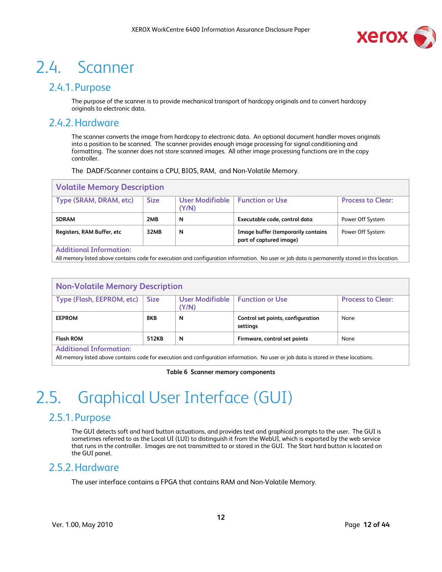

### 2.4. Scanner

#### 2.4.1. Purpose

The purpose of the scanner is to provide mechanical transport of hardcopy originals and to convert hardcopy originals to electronic data.

#### 2.4.2.Hardware

The scanner converts the image from hardcopy to electronic data. An optional document handler moves originals into a position to be scanned. The scanner provides enough image processing for signal conditioning and formatting. The scanner does not store scanned images. All other image processing functions are in the copy controller.

The DADF/Scanner contains a CPU, BIOS, RAM, and Non-Volatile Memory.

| <b>Volatile Memory Description</b> |             |                          |                                                               |                          |  |
|------------------------------------|-------------|--------------------------|---------------------------------------------------------------|--------------------------|--|
| Type (SRAM, DRAM, etc)             | <b>Size</b> | User Modifiable<br>(Y/N) | <b>Function or Use</b>                                        | <b>Process to Clear:</b> |  |
| <b>SDRAM</b>                       | 2MB         | N                        | Executable code, control data                                 | Power Off System         |  |
| Registers, RAM Buffer, etc         | 32MB        | N                        | Image buffer (temporarily contains<br>part of captured image) | Power Off System         |  |
| <b>Additional Information:</b>     |             |                          |                                                               |                          |  |

All memory listed above contains code for execution and configuration information. No user or job data is permanently stored in this location.

| <b>Non-Volatile Memory Description</b> |       |                                            |                                               |                          |
|----------------------------------------|-------|--------------------------------------------|-----------------------------------------------|--------------------------|
| Type (Flash, EEPROM, etc)   Size       |       | User Modifiable   Function or Use<br>(Y/N) |                                               | <b>Process to Clear:</b> |
| <b>EEPROM</b>                          | 8KB   | N                                          | Control set points, configuration<br>settings | None                     |
| <b>Flash ROM</b>                       | 512KB | N                                          | Firmware, control set points                  | None                     |

**Additional Information:** 

All memory listed above contains code for execution and configuration information. No user or job data is stored in these locations.

#### **Table 6 Scanner memory components**

### 2.5. Graphical User Interface (GUI)

#### 2.5.1. Purpose

The GUI detects soft and hard button actuations, and provides text and graphical prompts to the user. The GUI is sometimes referred to as the Local UI (LUI) to distinguish it from the WebUI, which is exported by the web service that runs in the controller. Images are not transmitted to or stored in the GUI. The Start hard button is located on the GUI panel.

#### 2.5.2.Hardware

The user interface contains a FPGA that contains RAM and Non-Volatile Memory.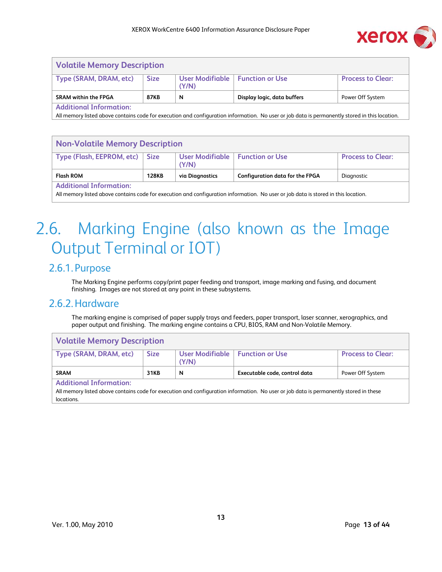

| <b>Volatile Memory Description</b> |             |                                            |                             |                          |
|------------------------------------|-------------|--------------------------------------------|-----------------------------|--------------------------|
| Type (SRAM, DRAM, etc)             | <b>Size</b> | User Modifiable   Function or Use<br>(Y/N) |                             | <b>Process to Clear:</b> |
| <b>SRAM within the FPGA</b>        | 87KB        | N                                          | Display logic, data buffers | Power Off System         |
| <b>Additional Information:</b>     |             |                                            |                             |                          |

All memory listed above contains code for execution and configuration information. No user or job data is permanently stored in this location.

| <b>Non-Volatile Memory Description</b>                                                                                                                               |       |                                            |                                        |                          |
|----------------------------------------------------------------------------------------------------------------------------------------------------------------------|-------|--------------------------------------------|----------------------------------------|--------------------------|
| Type (Flash, EEPROM, etc)                                                                                                                                            | Size  | User Modifiable   Function or Use<br>(Y/N) |                                        | <b>Process to Clear:</b> |
| <b>Flash ROM</b>                                                                                                                                                     | 128KB | via Diagnostics                            | <b>Configuration data for the FPGA</b> | Diagnostic               |
| <b>Additional Information:</b><br>All memory listed above contains code for execution and configuration information. No user or job data is stored in this location. |       |                                            |                                        |                          |

### 2.6. Marking Engine (also known as the Image Output Terminal or IOT)

#### 2.6.1. Purpose

The Marking Engine performs copy/print paper feeding and transport, image marking and fusing, and document finishing. Images are not stored at any point in these subsystems.

#### 2.6.2.Hardware

The marking engine is comprised of paper supply trays and feeders, paper transport, laser scanner, xerographics, and paper output and finishing. The marking engine contains a CPU, BIOS, RAM and Non-Volatile Memory.

| <b>Volatile Memory Description</b> |             |                                            |                                                                                                                                       |                          |
|------------------------------------|-------------|--------------------------------------------|---------------------------------------------------------------------------------------------------------------------------------------|--------------------------|
| Type (SRAM, DRAM, etc)             | <b>Size</b> | User Modifiable   Function or Use<br>(Y/N) |                                                                                                                                       | <b>Process to Clear:</b> |
| <b>SRAM</b>                        | 31KB        | N                                          | Executable code, control data                                                                                                         | Power Off System         |
| <b>Additional Information:</b>     |             |                                            | All memory listed above contains code for execution and configuration information. No user or job data is permanently stored in these |                          |
| locations.                         |             |                                            |                                                                                                                                       |                          |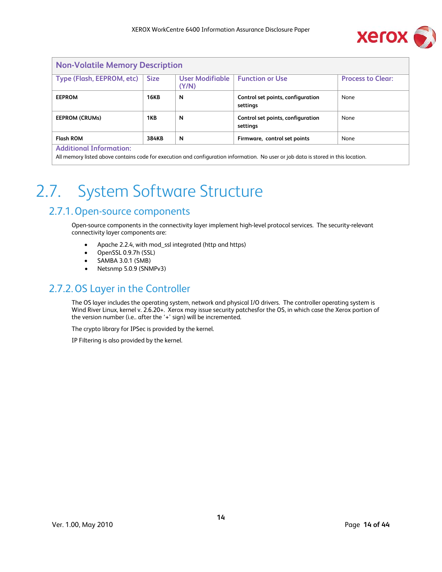

| <b>Non-Volatile Memory Description</b> |             |                          |                                               |                          |
|----------------------------------------|-------------|--------------------------|-----------------------------------------------|--------------------------|
| Type (Flash, EEPROM, etc)              | <b>Size</b> | User Modifiable<br>(Y/N) | <b>Function or Use</b>                        | <b>Process to Clear:</b> |
| <b>EEPROM</b>                          | <b>16KB</b> | N                        | Control set points, configuration<br>settings | None                     |
| <b>EEPROM (CRUMs)</b>                  | 1KB         | N                        | Control set points, configuration<br>settings | None                     |
| <b>Flash ROM</b>                       | 384KB       | N                        | Firmware, control set points                  | None                     |
| <b>Additional Information:</b>         |             |                          |                                               |                          |

All memory listed above contains code for execution and configuration information. No user or job data is stored in this location.

### 2.7. System Software Structure

#### 2.7.1.Open-source components

Open-source components in the connectivity layer implement high-level protocol services. The security-relevant connectivity layer components are:

- Apache 2.2.4, with mod\_ssl integrated (http and https)
- OpenSSL 0.9.7h (SSL)
- SAMBA 3.0.1 (SMB)
- Netsnmp 5.0.9 (SNMPv3)

#### 2.7.2.OS Layer in the Controller

The OS layer includes the operating system, network and physical I/O drivers. The controller operating system is Wind River Linux, kernel v. 2.6.20+. Xerox may issue security patchesfor the OS, in which case the Xerox portion of the version number (i.e.. after the '+' sign) will be incremented.

The crypto library for IPSec is provided by the kernel.

IP Filtering is also provided by the kernel.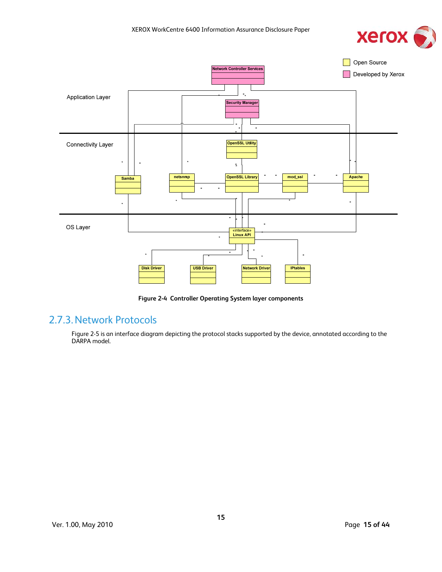



**Figure 2-4 Controller Operating System layer components** 

#### 2.7.3.Network Protocols

Figure 2-5 is an interface diagram depicting the protocol stacks supported by the device, annotated according to the DARPA model.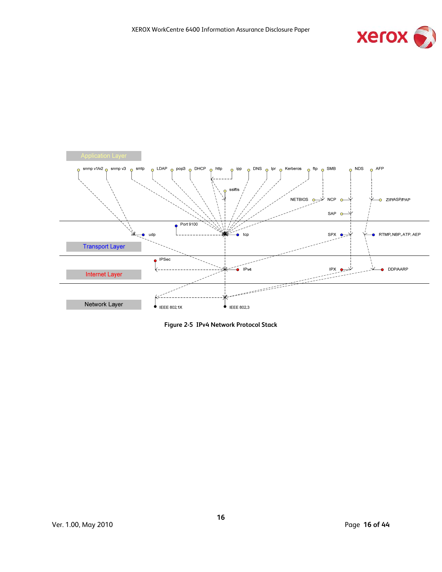



**Figure 2-5 IPv4 Network Protocol Stack**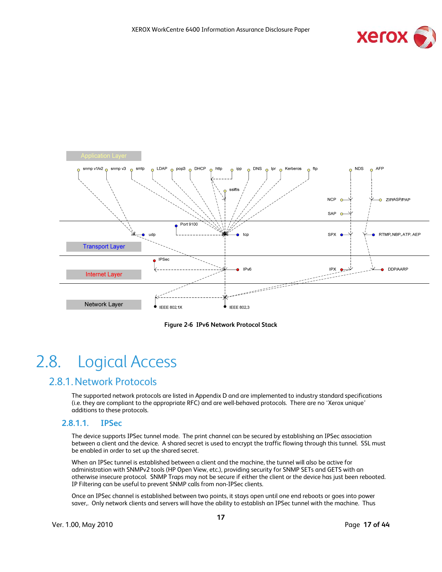



**Figure 2-6 IPv6 Network Protocol Stack** 

### 2.8. Logical Access

#### 2.8.1.Network Protocols

The supported network protocols are listed in Appendix D and are implemented to industry standard specifications (i.e. they are compliant to the appropriate RFC) and are well-behaved protocols. There are no 'Xerox unique' additions to these protocols.

#### **2.8.1.1. IPSec**

The device supports IPSec tunnel mode. The print channel can be secured by establishing an IPSec association between a client and the device. A shared secret is used to encrypt the traffic flowing through this tunnel. SSL must be enabled in order to set up the shared secret.

When an IPSec tunnel is established between a client and the machine, the tunnel will also be active for administration with SNMPv2 tools (HP Open View, etc.), providing security for SNMP SETs and GETS with an otherwise insecure protocol. SNMP Traps may not be secure if either the client or the device has just been rebooted. IP Filtering can be useful to prevent SNMP calls from non-IPSec clients.

Once an IPSec channel is established between two points, it stays open until one end reboots or goes into power saver,. Only network clients and servers will have the ability to establish an IPSec tunnel with the machine. Thus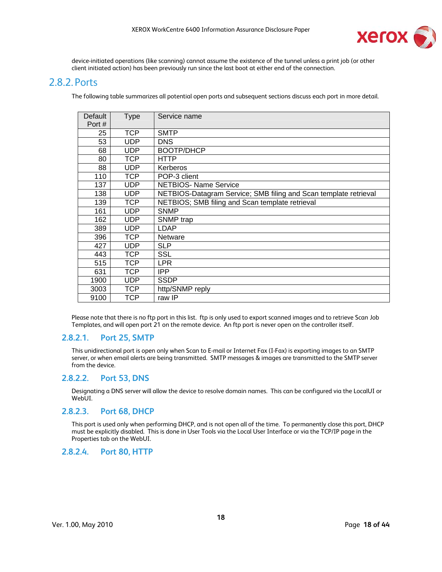

device-initiated operations (like scanning) cannot assume the existence of the tunnel unless a print job (or other client initiated action) has been previously run since the last boot at either end of the connection.

#### 2.8.2. Ports

The following table summarizes all potential open ports and subsequent sections discuss each port in more detail.

| Default<br>Port # | <b>Type</b> | Service name                                                     |
|-------------------|-------------|------------------------------------------------------------------|
| 25                | <b>TCP</b>  | <b>SMTP</b>                                                      |
| 53                | <b>UDP</b>  | <b>DNS</b>                                                       |
| 68                | <b>UDP</b>  | <b>BOOTP/DHCP</b>                                                |
| 80                | TCP         | <b>HTTP</b>                                                      |
| 88                | <b>UDP</b>  | Kerberos                                                         |
| 110               | <b>TCP</b>  | POP-3 client                                                     |
| 137               | <b>UDP</b>  | <b>NETBIOS- Name Service</b>                                     |
| 138               | UDP         | NETBIOS-Datagram Service; SMB filing and Scan template retrieval |
| 139               | <b>TCP</b>  | NETBIOS; SMB filing and Scan template retrieval                  |
| 161               | <b>UDP</b>  | <b>SNMP</b>                                                      |
| 162               | <b>UDP</b>  | SNMP trap                                                        |
| 389               | <b>UDP</b>  | LDAP                                                             |
| 396               | <b>TCP</b>  | <b>Netware</b>                                                   |
| 427               | <b>UDP</b>  | <b>SLP</b>                                                       |
| 443               | TCP         | SSL                                                              |
| 515               | TCP         | <b>LPR</b>                                                       |
| 631               | <b>TCP</b>  | <b>IPP</b>                                                       |
| 1900              | <b>UDP</b>  | <b>SSDP</b>                                                      |
| 3003              | TCP         | http/SNMP reply                                                  |
| 9100              | <b>TCP</b>  | raw IP                                                           |

Please note that there is no ftp port in this list. ftp is only used to export scanned images and to retrieve Scan Job Templates, and will open port 21 on the remote device. An ftp port is never open on the controller itself.

#### **2.8.2.1. Port 25, SMTP**

This unidirectional port is open only when Scan to E-mail or Internet Fax (I-Fax) is exporting images to an SMTP server, or when email alerts are being transmitted. SMTP messages & images are transmitted to the SMTP server from the device.

#### **2.8.2.2. Port 53, DNS**

Designating a DNS server will allow the device to resolve domain names. This can be configured via the LocalUI or WebUI.

#### **2.8.2.3. Port 68, DHCP**

This port is used only when performing DHCP, and is not open all of the time. To permanently close this port, DHCP must be explicitly disabled. This is done in User Tools via the Local User Interface or via the TCP/IP page in the Properties tab on the WebUI.

#### **2.8.2.4. Port 80, HTTP**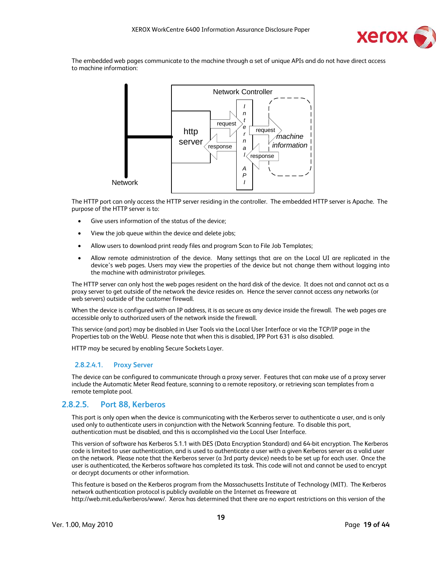

The embedded web pages communicate to the machine through a set of unique APIs and do not have direct access to machine information:



The HTTP port can only access the HTTP server residing in the controller. The embedded HTTP server is Apache. The purpose of the HTTP server is to:

- Give users information of the status of the device;
- View the job queue within the device and delete jobs;
- Allow users to download print ready files and program Scan to File Job Templates;
- Allow remote administration of the device. Many settings that are on the Local UI are replicated in the device's web pages. Users may view the properties of the device but not change them without logging into the machine with administrator privileges.

The HTTP server can only host the web pages resident on the hard disk of the device. It does not and cannot act as a proxy server to get outside of the network the device resides on. Hence the server cannot access any networks (or web servers) outside of the customer firewall.

When the device is configured with an IP address, it is as secure as any device inside the firewall. The web pages are accessible only to authorized users of the network inside the firewall.

This service (and port) may be disabled in User Tools via the Local User Interface or via the TCP/IP page in the Properties tab on the WebU. Please note that when this is disabled, IPP Port 631 is also disabled.

HTTP may be secured by enabling Secure Sockets Layer.

#### **2.8.2.4.1. Proxy Server**

The device can be configured to communicate through a proxy server. Features that can make use of a proxy server include the Automatic Meter Read feature, scanning to a remote repository, or retrieving scan templates from a remote template pool.

#### **2.8.2.5. Port 88, Kerberos**

This port is only open when the device is communicating with the Kerberos server to authenticate a user, and is only used only to authenticate users in conjunction with the Network Scanning feature. To disable this port, authentication must be disabled, and this is accomplished via the Local User Interface.

This version of software has Kerberos 5.1.1 with DES (Data Encryption Standard) and 64-bit encryption. The Kerberos code is limited to user authentication, and is used to authenticate a user with a given Kerberos server as a valid user on the network. Please note that the Kerberos server (a 3rd party device) needs to be set up for each user. Once the user is authenticated, the Kerberos software has completed its task. This code will not and cannot be used to encrypt or decrypt documents or other information.

This feature is based on the Kerberos program from the Massachusetts Institute of Technology (MIT). The Kerberos network authentication protocol is publicly available on the Internet as freeware at http://web.mit.edu/kerberos/www/. Xerox has determined that there are no export restrictions on this version of the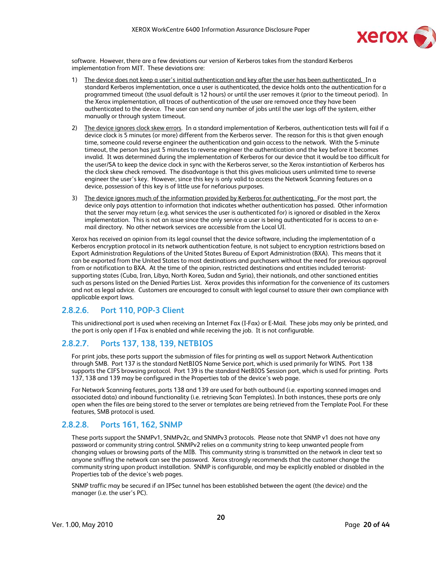

software. However, there are a few deviations our version of Kerberos takes from the standard Kerberos implementation from MIT. These deviations are:

- 1) The device does not keep a user's initial authentication and key after the user has been authenticated. In a standard Kerberos implementation, once a user is authenticated, the device holds onto the authentication for a programmed timeout (the usual default is 12 hours) or until the user removes it (prior to the timeout period). In the Xerox implementation, all traces of authentication of the user are removed once they have been authenticated to the device. The user can send any number of jobs until the user logs off the system, either manually or through system timeout.
- 2) The device ignores clock skew errors. In a standard implementation of Kerberos, authentication tests will fail if a device clock is 5 minutes (or more) different from the Kerberos server. The reason for this is that given enough time, someone could reverse engineer the authentication and gain access to the network. With the 5-minute timeout, the person has just 5 minutes to reverse engineer the authentication and the key before it becomes invalid. It was determined during the implementation of Kerberos for our device that it would be too difficult for the user/SA to keep the device clock in sync with the Kerberos server, so the Xerox instantiation of Kerberos has the clock skew check removed. The disadvantage is that this gives malicious users unlimited time to reverse engineer the user's key. However, since this key is only valid to access the Network Scanning features on a device, possession of this key is of little use for nefarious purposes.
- 3) The device ignores much of the information provided by Kerberos for authenticating. For the most part, the device only pays attention to information that indicates whether authentication has passed. Other information that the server may return (e.g. what services the user is authenticated for) is ignored or disabled in the Xerox implementation. This is not an issue since the only service a user is being authenticated for is access to an email directory. No other network services are accessible from the Local UI.

Xerox has received an opinion from its legal counsel that the device software, including the implementation of a Kerberos encryption protocol in its network authentication feature, is not subject to encryption restrictions based on Export Administration Regulations of the United States Bureau of Export Administration (BXA). This means that it can be exported from the United States to most destinations and purchasers without the need for previous approval from or notification to BXA. At the time of the opinion, restricted destinations and entities included terroristsupporting states (Cuba, Iran, Libya, North Korea, Sudan and Syria), their nationals, and other sanctioned entities such as persons listed on the Denied Parties List. Xerox provides this information for the convenience of its customers and not as legal advice. Customers are encouraged to consult with legal counsel to assure their own compliance with applicable export laws.

#### **2.8.2.6. Port 110, POP-3 Client**

This unidirectional port is used when receiving an Internet Fax (I-Fax) or E-Mail. These jobs may only be printed, and the port is only open if I-Fax is enabled and while receiving the job. It is not configurable.

#### **2.8.2.7. Ports 137, 138, 139, NETBIOS**

For print jobs, these ports support the submission of files for printing as well as support Network Authentication through SMB. Port 137 is the standard NetBIOS Name Service port, which is used primarily for WINS. Port 138 supports the CIFS browsing protocol. Port 139 is the standard NetBIOS Session port, which is used for printing. Ports 137, 138 and 139 may be configured in the Properties tab of the device's web page.

For Network Scanning features, ports 138 and 139 are used for both outbound (i.e. exporting scanned images and associated data) and inbound functionality (i.e. retrieving Scan Templates). In both instances, these ports are only open when the files are being stored to the server or templates are being retrieved from the Template Pool. For these features, SMB protocol is used.

#### **2.8.2.8. Ports 161, 162, SNMP**

These ports support the SNMPv1, SNMPv2c, and SNMPv3 protocols. Please note that SNMP v1 does not have any password or community string control. SNMPv2 relies on a community string to keep unwanted people from changing values or browsing parts of the MIB. This community string is transmitted on the network in clear text so anyone sniffing the network can see the password. Xerox strongly recommends that the customer change the community string upon product installation. SNMP is configurable, and may be explicitly enabled or disabled in the Properties tab of the device's web pages.

SNMP traffic may be secured if an IPSec tunnel has been established between the agent (the device) and the manager (i.e. the user's PC).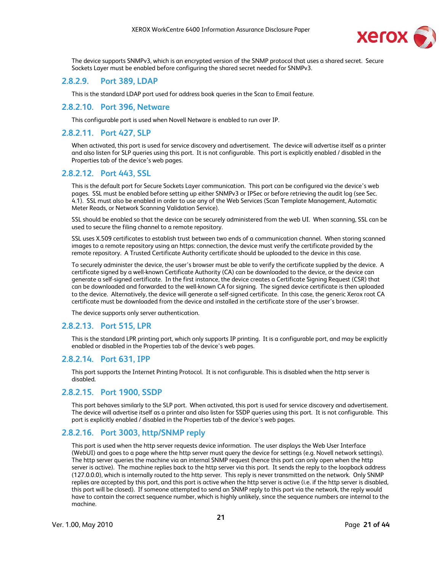

The device supports SNMPv3, which is an encrypted version of the SNMP protocol that uses a shared secret. Secure Sockets Layer must be enabled before configuring the shared secret needed for SNMPv3.

#### **2.8.2.9. Port 389, LDAP**

This is the standard LDAP port used for address book queries in the Scan to Email feature.

#### **2.8.2.10. Port 396, Netware**

This configurable port is used when Novell Netware is enabled to run over IP.

#### **2.8.2.11. Port 427, SLP**

When activated, this port is used for service discovery and advertisement. The device will advertise itself as a printer and also listen for SLP queries using this port. It is not configurable. This port is explicitly enabled / disabled in the Properties tab of the device's web pages.

#### **2.8.2.12. Port 443, SSL**

This is the default port for Secure Sockets Layer communication. This port can be configured via the device's web pages. SSL must be enabled before setting up either SNMPv3 or IPSec or before retrieving the audit log (see Sec. 4.1). SSL must also be enabled in order to use any of the Web Services (Scan Template Management, Automatic Meter Reads, or Network Scanning Validation Service).

SSL should be enabled so that the device can be securely administered from the web UI. When scanning, SSL can be used to secure the filing channel to a remote repository.

SSL uses X.509 certificates to establish trust between two ends of a communication channel. When storing scanned images to a remote repository using an https: connection, the device must verify the certificate provided by the remote repository. A Trusted Certificate Authority certificate should be uploaded to the device in this case.

To securely administer the device, the user's browser must be able to verify the certificate supplied by the device. A certificate signed by a well-known Certificate Authority (CA) can be downloaded to the device, or the device can generate a self-signed certificate. In the first instance, the device creates a Certificate Signing Request (CSR) that can be downloaded and forwarded to the well-known CA for signing. The signed device certificate is then uploaded to the device. Alternatively, the device will generate a self-signed certificate. In this case, the generic Xerox root CA certificate must be downloaded from the device and installed in the certificate store of the user's browser.

The device supports only server authentication.

#### **2.8.2.13. Port 515, LPR**

This is the standard LPR printing port, which only supports IP printing. It is a configurable port, and may be explicitly enabled or disabled in the Properties tab of the device's web pages.

#### **2.8.2.14. Port 631, IPP**

This port supports the Internet Printing Protocol. It is not configurable. This is disabled when the http server is disabled.

#### **2.8.2.15. Port 1900, SSDP**

This port behaves similarly to the SLP port. When activated, this port is used for service discovery and advertisement. The device will advertise itself as a printer and also listen for SSDP queries using this port. It is not configurable. This port is explicitly enabled / disabled in the Properties tab of the device's web pages.

#### **2.8.2.16. Port 3003, http/SNMP reply**

This port is used when the http server requests device information. The user displays the Web User Interface (WebUI) and goes to a page where the http server must query the device for settings (e.g. Novell network settings). The http server queries the machine via an internal SNMP request (hence this port can only open when the http server is active). The machine replies back to the http server via this port. It sends the reply to the loopback address (127.0.0.0), which is internally routed to the http server. This reply is never transmitted on the network. Only SNMP replies are accepted by this port, and this port is active when the http server is active (i.e. if the http server is disabled, this port will be closed). If someone attempted to send an SNMP reply to this port via the network, the reply would have to contain the correct sequence number, which is highly unlikely, since the sequence numbers are internal to the machine.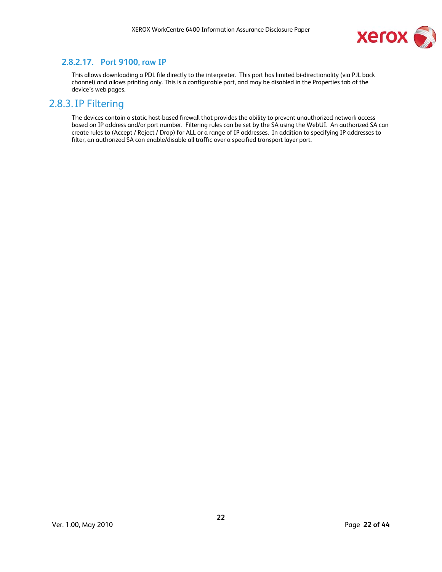

#### **2.8.2.17. Port 9100, raw IP**

This allows downloading a PDL file directly to the interpreter. This port has limited bi-directionality (via PJL back channel) and allows printing only. This is a configurable port, and may be disabled in the Properties tab of the device's web pages.

#### 2.8.3.IP Filtering

The devices contain a static host-based firewall that provides the ability to prevent unauthorized network access based on IP address and/or port number. Filtering rules can be set by the SA using the WebUI. An authorized SA can create rules to (Accept / Reject / Drop) for ALL or a range of IP addresses. In addition to specifying IP addresses to filter, an authorized SA can enable/disable all traffic over a specified transport layer port.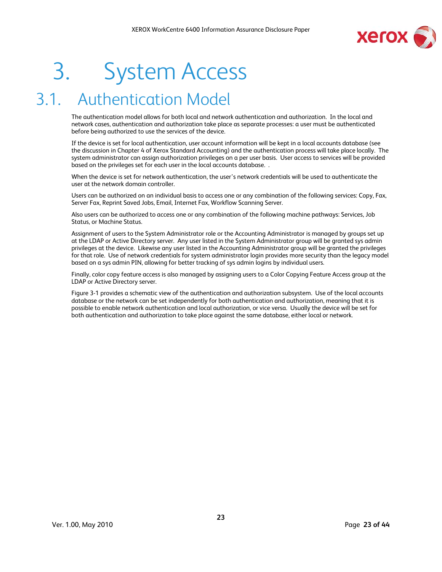

# 3. System Access

### 3.1. Authentication Model

The authentication model allows for both local and network authentication and authorization. In the local and network cases, authentication and authorization take place as separate processes: a user must be authenticated before being authorized to use the services of the device.

If the device is set for local authentication, user account information will be kept in a local accounts database (see the discussion in Chapter 4 of Xerox Standard Accounting) and the authentication process will take place locally. The system administrator can assign authorization privileges on a per user basis. User access to services will be provided based on the privileges set for each user in the local accounts database. .

When the device is set for network authentication, the user's network credentials will be used to authenticate the user at the network domain controller.

Users can be authorized on an individual basis to access one or any combination of the following services: Copy, Fax, Server Fax, Reprint Saved Jobs, Email, Internet Fax, Workflow Scanning Server.

Also users can be authorized to access one or any combination of the following machine pathways: Services, Job Status, or Machine Status.

Assignment of users to the System Administrator role or the Accounting Administrator is managed by groups set up at the LDAP or Active Directory server. Any user listed in the System Administrator group will be granted sys admin privileges at the device. Likewise any user listed in the Accounting Administrator group will be granted the privileges for that role. Use of network credentials for system administrator login provides more security than the legacy model based on a sys admin PIN, allowing for better tracking of sys admin logins by individual users.

Finally, color copy feature access is also managed by assigning users to a Color Copying Feature Access group at the LDAP or Active Directory server.

Figure 3-1 provides a schematic view of the authentication and authorization subsystem. Use of the local accounts database or the network can be set independently for both authentication and authorization, meaning that it is possible to enable network authentication and local authorization, or vice versa. Usually the device will be set for both authentication and authorization to take place against the same database, either local or network.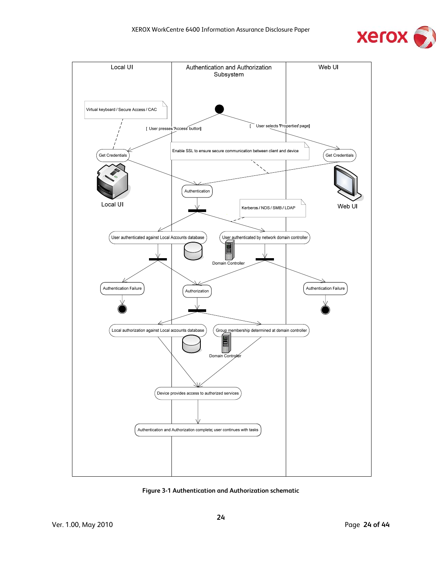



**Figure 3-1 Authentication and Authorization schematic**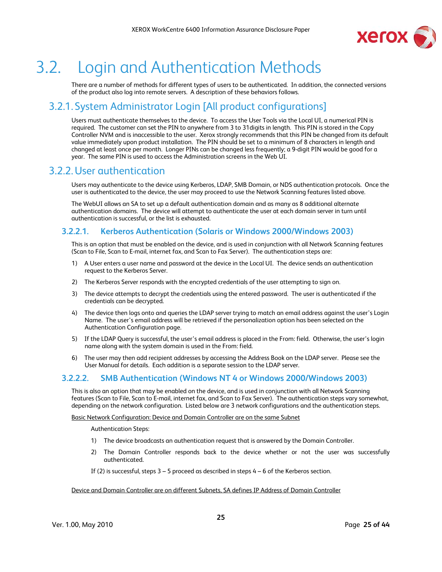

### 3.2. Login and Authentication Methods

There are a number of methods for different types of users to be authenticated. In addition, the connected versions of the product also log into remote servers. A description of these behaviors follows.

#### 3.2.1. System Administrator Login [All product configurations]

Users must authenticate themselves to the device. To access the User Tools via the Local UI, a numerical PIN is required. The customer can set the PIN to anywhere from 3 to 31digits in length. This PIN is stored in the Copy Controller NVM and is inaccessible to the user. Xerox strongly recommends that this PIN be changed from its default value immediately upon product installation. The PIN should be set to a minimum of 8 characters in length and changed at least once per month. Longer PINs can be changed less frequently; a 9-digit PIN would be good for a year. The same PIN is used to access the Administration screens in the Web UI.

#### 3.2.2.User authentication

Users may authenticate to the device using Kerberos, LDAP, SMB Domain, or NDS authentication protocols. Once the user is authenticated to the device, the user may proceed to use the Network Scanning features listed above.

The WebUI allows an SA to set up a default authentication domain and as many as 8 additional alternate authentication domains. The device will attempt to authenticate the user at each domain server in turn until authentication is successful, or the list is exhausted.

#### **3.2.2.1. Kerberos Authentication (Solaris or Windows 2000/Windows 2003)**

This is an option that must be enabled on the device, and is used in conjunction with all Network Scanning features (Scan to File, Scan to E-mail, internet fax, and Scan to Fax Server). The authentication steps are:

- 1) A User enters a user name and password at the device in the Local UI. The device sends an authentication request to the Kerberos Server.
- 2) The Kerberos Server responds with the encrypted credentials of the user attempting to sign on.
- 3) The device attempts to decrypt the credentials using the entered password. The user is authenticated if the credentials can be decrypted.
- 4) The device then logs onto and queries the LDAP server trying to match an email address against the user's Login Name. The user's email address will be retrieved if the personalization option has been selected on the Authentication Configuration page.
- 5) If the LDAP Query is successful, the user's email address is placed in the From: field. Otherwise, the user's login name along with the system domain is used in the From: field.
- 6) The user may then add recipient addresses by accessing the Address Book on the LDAP server. Please see the User Manual for details. Each addition is a separate session to the LDAP server.

#### **3.2.2.2. SMB Authentication (Windows NT 4 or Windows 2000/Windows 2003)**

This is also an option that may be enabled on the device, and is used in conjunction with all Network Scanning features (Scan to File, Scan to E-mail, internet fax, and Scan to Fax Server). The authentication steps vary somewhat, depending on the network configuration. Listed below are 3 network configurations and the authentication steps.

Basic Network Configuration: Device and Domain Controller are on the same Subnet

Authentication Steps:

- 1) The device broadcasts an authentication request that is answered by the Domain Controller.
- 2) The Domain Controller responds back to the device whether or not the user was successfully authenticated.

If (2) is successful, steps 3 – 5 proceed as described in steps 4 – 6 of the Kerberos section.

#### Device and Domain Controller are on different Subnets, SA defines IP Address of Domain Controller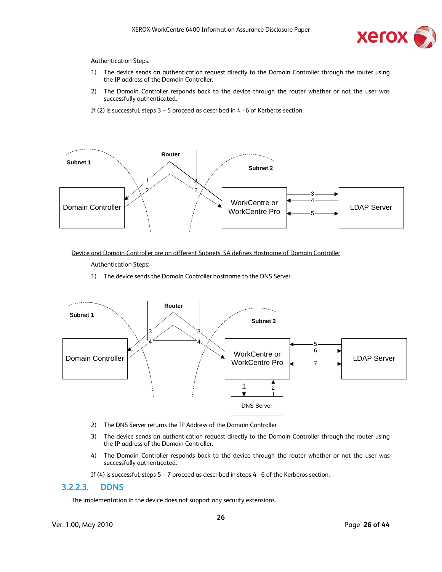

#### Authentication Steps:

- 1) The device sends an authentication request directly to the Domain Controller through the router using the IP address of the Domain Controller.
- 2) The Domain Controller responds back to the device through the router whether or not the user was successfully authenticated.
- If (2) is successful, steps 3 5 proceed as described in 4 6 of Kerberos section.



Device and Domain Controller are on different Subnets, SA defines Hostname of Domain Controller

Authentication Steps:

1) The device sends the Domain Controller hostname to the DNS Server.



- 2) The DNS Server returns the IP Address of the Domain Controller
- 3) The device sends an authentication request directly to the Domain Controller through the router using the IP address of the Domain Controller.
- 4) The Domain Controller responds back to the device through the router whether or not the user was successfully authenticated.

If (4) is successful, steps 5 – 7 proceed as described in steps 4 - 6 of the Kerberos section.

#### **3.2.2.3. DDNS**

The implementation in the device does not support any security extensions.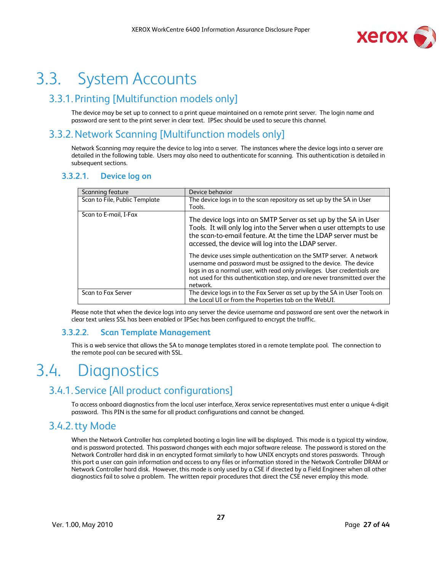

### 3.3. System Accounts

#### 3.3.1. Printing [Multifunction models only]

The device may be set up to connect to a print queue maintained on a remote print server. The login name and password are sent to the print server in clear text. IPSec should be used to secure this channel.

#### 3.3.2.Network Scanning [Multifunction models only]

Network Scanning may require the device to log into a server. The instances where the device logs into a server are detailed in the following table. Users may also need to authenticate for scanning. This authentication is detailed in subsequent sections.

#### **3.3.2.1. Device log on**

| Scanning feature              | Device behavior                                                                                                                                                                                                                                                                                                                                                                                                                                                                                                                                                                  |
|-------------------------------|----------------------------------------------------------------------------------------------------------------------------------------------------------------------------------------------------------------------------------------------------------------------------------------------------------------------------------------------------------------------------------------------------------------------------------------------------------------------------------------------------------------------------------------------------------------------------------|
| Scan to File, Public Template | The device logs in to the scan repository as set up by the SA in User<br>Tools.                                                                                                                                                                                                                                                                                                                                                                                                                                                                                                  |
| Scan to E-mail, I-Fax         | The device logs into an SMTP Server as set up by the SA in User<br>Tools. It will only log into the Server when a user attempts to use<br>the scan-to-email feature. At the time the LDAP server must be<br>accessed, the device will log into the LDAP server.<br>The device uses simple authentication on the SMTP server. A network<br>username and password must be assigned to the device. The device<br>logs in as a normal user, with read only privileges. User credentials are<br>not used for this authentication step, and are never transmitted over the<br>network. |
| Scan to Fax Server            | The device logs in to the Fax Server as set up by the SA in User Tools on<br>the Local UI or from the Properties tab on the WebUI.                                                                                                                                                                                                                                                                                                                                                                                                                                               |

Please note that when the device logs into any server the device username and password are sent over the network in clear text unless SSL has been enabled or IPSec has been configured to encrypt the traffic.

#### **3.3.2.2. Scan Template Management**

This is a web service that allows the SA to manage templates stored in a remote template pool. The connection to the remote pool can be secured with SSL.

### 3.4. Diagnostics

#### 3.4.1. Service [All product configurations]

To access onboard diagnostics from the local user interface, Xerox service representatives must enter a unique 4-digit password. This PIN is the same for all product configurations and cannot be changed.

#### 3.4.2.tty Mode

When the Network Controller has completed booting a login line will be displayed. This mode is a typical tty window, and is password protected. This password changes with each major software release. The password is stored on the Network Controller hard disk in an encrypted format similarly to how UNIX encrypts and stores passwords. Through this port a user can gain information and access to any files or information stored in the Network Controller DRAM or Network Controller hard disk. However, this mode is only used by a CSE if directed by a Field Engineer when all other diagnostics fail to solve a problem. The written repair procedures that direct the CSE never employ this mode.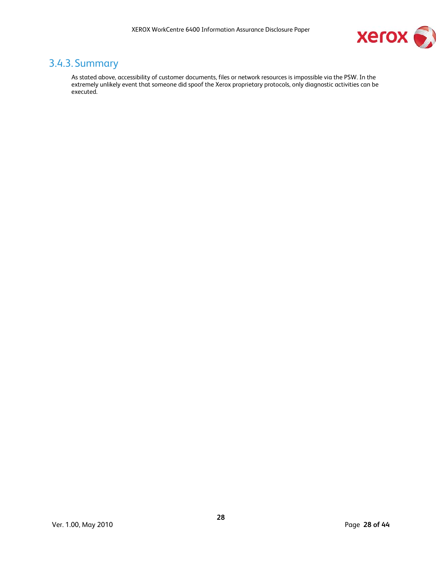

#### 3.4.3. Summary

As stated above, accessibility of customer documents, files or network resources is impossible via the PSW. In the extremely unlikely event that someone did spoof the Xerox proprietary protocols, only diagnostic activities can be executed.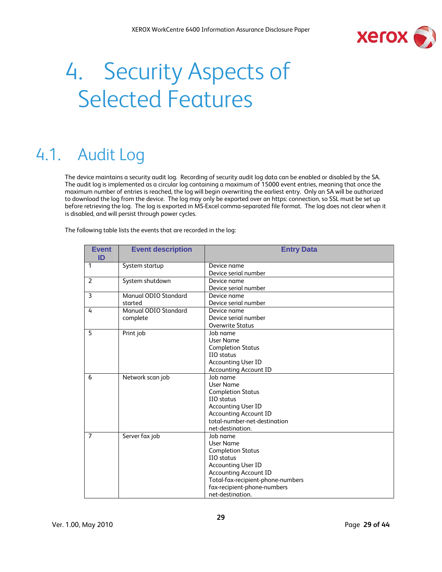

# 4. Security Aspects of Selected Features

### 4.1. Audit Log

The device maintains a security audit log. Recording of security audit log data can be enabled or disabled by the SA. The audit log is implemented as a circular log containing a maximum of 15000 event entries, meaning that once the maximum number of entries is reached, the log will begin overwriting the earliest entry. Only an SA will be authorized to download the log from the device. The log may only be exported over an https: connection, so SSL must be set up before retrieving the log. The log is exported in MS-Excel comma-separated file format. The log does not clear when it is disabled, and will persist through power cycles.

The following table lists the events that are recorded in the log:

| <b>Event</b><br>ID | <b>Event description</b> | <b>Entry Data</b>                 |
|--------------------|--------------------------|-----------------------------------|
| 1                  | System startup           | Device name                       |
|                    |                          | Device serial number              |
| 2                  | System shutdown          | Device name                       |
|                    |                          | Device serial number              |
| 3                  | Manual ODIO Standard     | Device name                       |
|                    | started                  | Device serial number              |
| 4                  | Manual ODIO Standard     | Device name                       |
|                    | complete                 | Device serial number              |
|                    |                          | <b>Overwrite Status</b>           |
| 5                  | Print job                | Job name                          |
|                    |                          | User Name                         |
|                    |                          | <b>Completion Status</b>          |
|                    |                          | IIO status                        |
|                    |                          | <b>Accounting User ID</b>         |
|                    |                          | <b>Accounting Account ID</b>      |
| 6                  | Network scan job         | Job name                          |
|                    |                          | User Name                         |
|                    |                          | <b>Completion Status</b>          |
|                    |                          | IIO status                        |
|                    |                          | <b>Accounting User ID</b>         |
|                    |                          | <b>Accounting Account ID</b>      |
|                    |                          | total-number-net-destination      |
|                    |                          | net-destination.                  |
| $\overline{7}$     | Server fax job           | Job name                          |
|                    |                          | User Name                         |
|                    |                          | <b>Completion Status</b>          |
|                    |                          | IIO status                        |
|                    |                          | <b>Accounting User ID</b>         |
|                    |                          | <b>Accounting Account ID</b>      |
|                    |                          | Total-fax-recipient-phone-numbers |
|                    |                          | fax-recipient-phone-numbers       |
|                    |                          | net-destination.                  |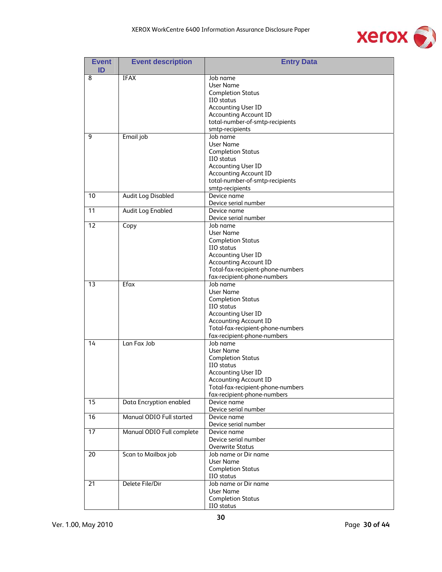

| <b>Event</b><br>ID | <b>Event description</b>  | <b>Entry Data</b>                        |
|--------------------|---------------------------|------------------------------------------|
| 8                  | <b>IFAX</b>               | Job name                                 |
|                    |                           | User Name                                |
|                    |                           | <b>Completion Status</b>                 |
|                    |                           | IIO status                               |
|                    |                           | <b>Accounting User ID</b>                |
|                    |                           | <b>Accounting Account ID</b>             |
|                    |                           | total-number-of-smtp-recipients          |
|                    |                           | smtp-recipients                          |
| 9                  | Email job                 | Job name                                 |
|                    |                           | User Name                                |
|                    |                           | <b>Completion Status</b>                 |
|                    |                           | IIO status                               |
|                    |                           | <b>Accounting User ID</b>                |
|                    |                           | <b>Accounting Account ID</b>             |
|                    |                           | total-number-of-smtp-recipients          |
|                    |                           | smtp-recipients                          |
| 10                 | <b>Audit Log Disabled</b> | Device name                              |
|                    |                           | Device serial number                     |
| 11                 | <b>Audit Log Enabled</b>  | Device name                              |
|                    |                           | Device serial number                     |
| 12                 | Copy                      | Job name                                 |
|                    |                           | <b>User Name</b>                         |
|                    |                           | <b>Completion Status</b>                 |
|                    |                           | IIO status                               |
|                    |                           | Accounting User ID                       |
|                    |                           | <b>Accounting Account ID</b>             |
|                    |                           | Total-fax-recipient-phone-numbers        |
|                    |                           | fax-recipient-phone-numbers              |
| 13                 | Efax                      | Job name                                 |
|                    |                           | User Name                                |
|                    |                           | <b>Completion Status</b>                 |
|                    |                           | IIO status                               |
|                    |                           | <b>Accounting User ID</b>                |
|                    |                           | <b>Accounting Account ID</b>             |
|                    |                           | Total-fax-recipient-phone-numbers        |
|                    |                           | fax-recipient-phone-numbers              |
| 14                 | Lan Fax Job               | Job name                                 |
|                    |                           | User Name                                |
|                    |                           | <b>Completion Status</b>                 |
|                    |                           | IIO status                               |
|                    |                           | <b>Accounting User ID</b>                |
|                    |                           | <b>Accounting Account ID</b>             |
|                    |                           | Total-fax-recipient-phone-numbers        |
|                    |                           | fax-recipient-phone-numbers              |
| 15                 | Data Encryption enabled   | Device name                              |
|                    |                           | Device serial number                     |
| 16                 | Manual ODIO Full started  | Device name                              |
|                    |                           | Device serial number                     |
| 17                 | Manual ODIO Full complete | Device name                              |
|                    |                           | Device serial number                     |
|                    |                           | <b>Overwrite Status</b>                  |
| 20                 | Scan to Mailbox job       | Job name or Dir name                     |
|                    |                           | User Name                                |
|                    |                           | <b>Completion Status</b>                 |
|                    | Delete File/Dir           | IIO status                               |
| 21                 |                           | Job name or Dir name<br><b>User Name</b> |
|                    |                           | <b>Completion Status</b>                 |
|                    |                           | IIO status                               |
|                    |                           |                                          |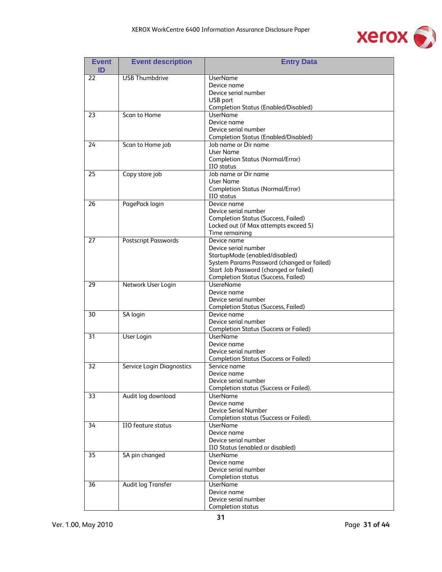

| <b>Event</b><br>ID | <b>Event description</b>    | <b>Entry Data</b>                                     |
|--------------------|-----------------------------|-------------------------------------------------------|
| 22                 | <b>USB Thumbdrive</b>       | <b>UserName</b>                                       |
|                    |                             | Device name                                           |
|                    |                             | Device serial number                                  |
|                    |                             | USB port                                              |
|                    |                             | <b>Completion Status (Enabled/Disabled)</b>           |
| 23                 | Scan to Home                | <b>UserName</b>                                       |
|                    |                             | Device name                                           |
|                    |                             | Device serial number                                  |
|                    |                             | <b>Completion Status (Enabled/Disabled)</b>           |
| 24                 | Scan to Home job            | Job name or Dir name                                  |
|                    |                             | User Name                                             |
|                    |                             | <b>Completion Status (Normal/Error)</b><br>IIO status |
| 25                 | Copy store job              | Job name or Dir name                                  |
|                    |                             | User Name                                             |
|                    |                             | <b>Completion Status (Normal/Error)</b>               |
|                    |                             | IIO status                                            |
| 26                 | PagePack login              | Device name                                           |
|                    |                             | Device serial number                                  |
|                    |                             | <b>Completion Status (Success, Failed)</b>            |
|                    |                             | Locked out (if Max attempts exceed 5)                 |
|                    |                             | Time remaining                                        |
| 27                 | <b>Postscript Passwords</b> | Device name                                           |
|                    |                             | Device serial number                                  |
|                    |                             | StartupMode (enabled/disabled)                        |
|                    |                             | System Params Password (changed or failed)            |
|                    |                             | Start Job Password (changed or failed)                |
|                    |                             | <b>Completion Status (Success, Failed)</b>            |
| 29                 | Network User Login          | <b>UsereName</b>                                      |
|                    |                             | Device name<br>Device serial number                   |
|                    |                             | <b>Completion Status (Success, Failed)</b>            |
| 30                 | SA login                    | Device name                                           |
|                    |                             | Device serial number                                  |
|                    |                             | <b>Completion Status (Success or Failed)</b>          |
| 31                 | User Login                  | <b>UserName</b>                                       |
|                    |                             | Device name                                           |
|                    |                             | Device serial number                                  |
|                    |                             | <b>Completion Status (Success or Failed)</b>          |
| 32                 | Service Login Diagnostics   | Service name                                          |
|                    |                             | Device name                                           |
|                    |                             | Device serial number                                  |
|                    |                             | Completion status (Success or Failed).                |
| 33                 | Audit log download          | <b>UserName</b>                                       |
|                    |                             | Device name                                           |
|                    |                             | Device Serial Number                                  |
|                    |                             | Completion status (Success or Failed).                |
| 34                 | <b>IIO</b> feature status   | <b>UserName</b><br>Device name                        |
|                    |                             | Device serial number                                  |
|                    |                             | IIO Status (enabled or disabled)                      |
| 35                 | SA pin changed              | <b>UserName</b>                                       |
|                    |                             | Device name                                           |
|                    |                             | Device serial number                                  |
|                    |                             | <b>Completion status</b>                              |
| 36                 | <b>Audit log Transfer</b>   | <b>UserName</b>                                       |
|                    |                             | Device name                                           |
|                    |                             | Device serial number                                  |
|                    |                             | Completion status                                     |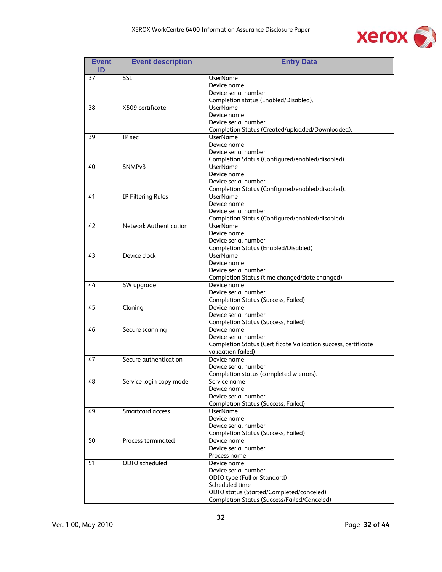

| <b>Event</b><br>ID | <b>Event description</b>      | <b>Entry Data</b>                                                   |
|--------------------|-------------------------------|---------------------------------------------------------------------|
| 37                 | SSL                           | <b>UserName</b>                                                     |
|                    |                               | Device name                                                         |
|                    |                               | Device serial number                                                |
|                    |                               | Completion status (Enabled/Disabled).                               |
| 38                 | X509 certificate              | <b>UserName</b>                                                     |
|                    |                               | Device name                                                         |
|                    |                               | Device serial number                                                |
|                    |                               | Completion Status (Created/uploaded/Downloaded).                    |
| 39                 | <b>IP</b> sec                 | <b>UserName</b>                                                     |
|                    |                               | Device name                                                         |
|                    |                               | Device serial number                                                |
|                    |                               | Completion Status (Configured/enabled/disabled).                    |
| 40                 | SNMP <sub>v3</sub>            | <b>UserName</b>                                                     |
|                    |                               | Device name                                                         |
|                    |                               | Device serial number                                                |
|                    |                               | Completion Status (Configured/enabled/disabled).                    |
| 41                 | <b>IP Filtering Rules</b>     | <b>UserName</b>                                                     |
|                    |                               | Device name                                                         |
|                    |                               | Device serial number                                                |
|                    |                               | Completion Status (Configured/enabled/disabled).<br><b>UserName</b> |
| 42                 | <b>Network Authentication</b> |                                                                     |
|                    |                               | Device name<br>Device serial number                                 |
|                    |                               | <b>Completion Status (Enabled/Disabled)</b>                         |
| 43                 | Device clock                  | <b>UserName</b>                                                     |
|                    |                               | Device name                                                         |
|                    |                               | Device serial number                                                |
|                    |                               | Completion Status (time changed/date changed)                       |
| 44                 | SW upgrade                    | Device name                                                         |
|                    |                               | Device serial number                                                |
|                    |                               | <b>Completion Status (Success, Failed)</b>                          |
| 45                 | Cloning                       | Device name                                                         |
|                    |                               | Device serial number                                                |
|                    |                               | <b>Completion Status (Success, Failed)</b>                          |
| 46                 | Secure scanning               | Device name                                                         |
|                    |                               | Device serial number                                                |
|                    |                               | Completion Status (Certificate Validation success, certificate      |
|                    |                               | validation failed)                                                  |
| 47                 | Secure authentication         | Device name                                                         |
|                    |                               | Device serial number                                                |
|                    |                               | Completion status (completed w errors).                             |
| 48                 | Service login copy mode       | Service name                                                        |
|                    |                               | Device name                                                         |
|                    |                               | Device serial number                                                |
|                    |                               | <b>Completion Status (Success, Failed)</b>                          |
| 49                 | Smartcard access              | <b>UserName</b>                                                     |
|                    |                               | Device name                                                         |
|                    |                               | Device serial number                                                |
| 50                 | Process terminated            | <b>Completion Status (Success, Failed)</b><br>Device name           |
|                    |                               | Device serial number                                                |
|                    |                               | Process name                                                        |
| 51                 | ODIO scheduled                | Device name                                                         |
|                    |                               | Device serial number                                                |
|                    |                               | ODIO type (Full or Standard)                                        |
|                    |                               | Scheduled time                                                      |
|                    |                               | ODIO status (Started/Completed/canceled)                            |
|                    |                               | Completion Status (Success/Failed/Canceled)                         |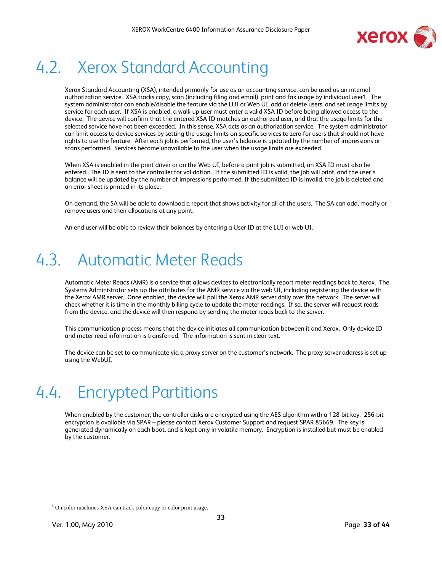

### 4.2. Xerox Standard Accounting

Xerox Standard Accounting (XSA), intended primarily for use as an accounting service, can be used as an internal authorization service. XSA tracks copy, scan (including filing and email), print and fax usage by individual user1. The system administrator can enable/disable the feature via the LUI or Web UI, add or delete users, and set usage limits by service for each user. If XSA is enabled, a walk-up user must enter a valid XSA ID before being allowed access to the device. The device will confirm that the entered XSA ID matches an authorized user, and that the usage limits for the selected service have not been exceeded. In this sense, XSA acts as an authorization service. The system administrator can limit access to device services by setting the usage limits on specific services to zero for users that should not have rights to use the feature. After each job is performed, the user's balance is updated by the number of impressions or scans performed. Services become unavailable to the user when the usage limits are exceeded.

When XSA is enabled in the print driver or on the Web UI, before a print job is submitted, an XSA ID must also be entered. The ID is sent to the controller for validation. If the submitted ID is valid, the job will print, and the user's balance will be updated by the number of impressions performed. If the submitted ID is invalid, the job is deleted and an error sheet is printed in its place.

On demand, the SA will be able to download a report that shows activity for all of the users. The SA can add, modify or remove users and their allocations at any point.

An end user will be able to review their balances by entering a User ID at the LUI or web UI.

### 4.3. Automatic Meter Reads

Automatic Meter Reads (AMR) is a service that allows devices to electronically report meter readings back to Xerox. The Systems Administrator sets up the attributes for the AMR service via the web UI, including registering the device with the Xerox AMR server. Once enabled, the device will poll the Xerox AMR server daily over the network. The server will check whether it is time in the monthly billing cycle to update the meter readings. If so, the server will request reads from the device, and the device will then respond by sending the meter reads back to the server.

This communication process means that the device initiates all communication between it and Xerox. Only device ID and meter read information is transferred. The information is sent in clear text.

The device can be set to communicate via a proxy server on the customer's network. The proxy server address is set up using the WebUI.

### 4.4. Encrypted Partitions

When enabled by the customer, the controller disks are encrypted using the AES algorithm with a 128-bit key. 256-bit encryption is available via SPAR – please contact Xerox Customer Support and request SPAR 85669. The key is generated dynamically on each boot, and is kept only in volatile memory. Encryption is installed but must be enabled by the customer.

1

<sup>&</sup>lt;sup>1</sup> On color machines XSA can track color copy or color print usage.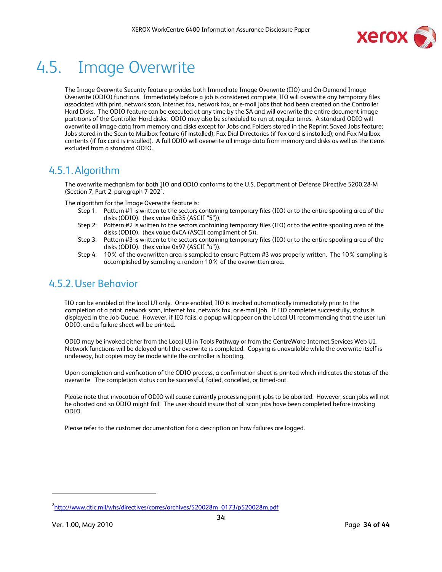

### 4.5. Image Overwrite

The Image Overwrite Security feature provides both Immediate Image Overwrite (IIO) and On-Demand Image Overwrite (ODIO) functions. Immediately before a job is considered complete, IIO will overwrite any temporary files associated with print, network scan, internet fax, network fax, or e-mail jobs that had been created on the Controller Hard Disks. The ODIO feature can be executed at any time by the SA and will overwrite the entire document image partitions of the Controller Hard disks. ODIO may also be scheduled to run at regular times. A standard ODIO will overwrite all image data from memory and disks except for Jobs and Folders stored in the Reprint Saved Jobs feature; Jobs stored in the Scan to Mailbox feature (if installed); Fax Dial Directories (if fax card is installed); and Fax Mailbox contents (if fax card is installed). A full ODIO will overwrite all image data from memory and disks as well as the items excluded from a standard ODIO.

#### 4.5.1.Algorithm

The overwrite mechanism for both IIO and ODIO conforms to the U.S. Department of Defense Directive 5200.28-M (Section 7, Part 2, paragraph  $7-202^2$ .

The algorithm for the Image Overwrite feature is:

- Step 1: Pattern #1 is written to the sectors containing temporary files (IIO) or to the entire spooling area of the disks (ODIO). (hex value 0x35 (ASCII "5")).
- Step 2: Pattern #2 is written to the sectors containing temporary files (IIO) or to the entire spooling area of the disks (ODIO). (hex value 0xCA (ASCII compliment of 5)).
- Step 3: Pattern #3 is written to the sectors containing temporary files (IIO) or to the entire spooling area of the disks (ODIO). (hex value 0x97 (ASCII "ú")).
- Step 4: 10% of the overwritten area is sampled to ensure Pattern #3 was properly written. The 10% sampling is accomplished by sampling a random 10% of the overwritten area.

#### 4.5.2.User Behavior

IIO can be enabled at the local UI only. Once enabled, IIO is invoked automatically immediately prior to the completion of a print, network scan, internet fax, network fax, or e-mail job. If IIO completes successfully, status is displayed in the Job Queue. However, if IIO fails, a popup will appear on the Local UI recommending that the user run ODIO, and a failure sheet will be printed.

ODIO may be invoked either from the Local UI in Tools Pathway or from the CentreWare Internet Services Web UI. Network functions will be delayed until the overwrite is completed. Copying is unavailable while the overwrite itself is underway, but copies may be made while the controller is booting.

Upon completion and verification of the ODIO process, a confirmation sheet is printed which indicates the status of the overwrite. The completion status can be successful, failed, cancelled, or timed-out.

Please note that invocation of ODIO will cause currently processing print jobs to be aborted. However, scan jobs will not be aborted and so ODIO might fail. The user should insure that all scan jobs have been completed before invoking ODIO.

Please refer to the customer documentation for a description on how failures are logged.

 $\overline{a}$ 

<sup>&</sup>lt;sup>2</sup>http://www.dtic.mil/whs/directives/corres/archives/520028m\_0173/p520028m.pdf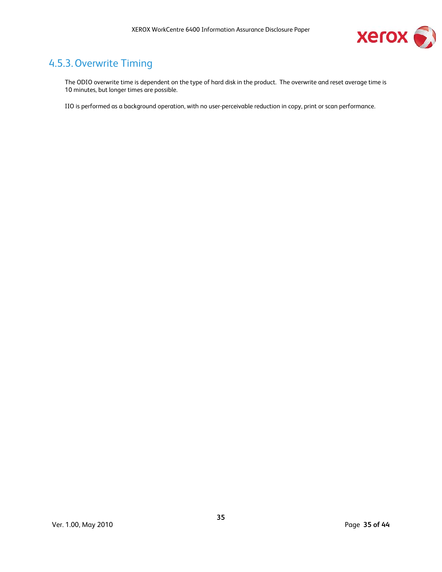

#### 4.5.3.Overwrite Timing

The ODIO overwrite time is dependent on the type of hard disk in the product. The overwrite and reset average time is 10 minutes, but longer times are possible.

IIO is performed as a background operation, with no user-perceivable reduction in copy, print or scan performance.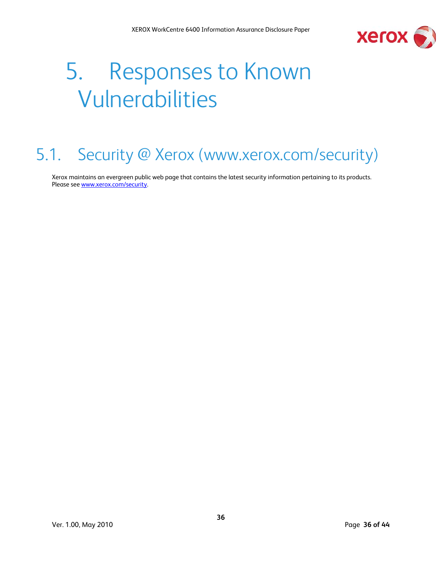

# 5. Responses to Known Vulnerabilities

### 5.1. Security @ Xerox (www.xerox.com/security)

Xerox maintains an evergreen public web page that contains the latest security information pertaining to its products. Please see www.xerox.com/security.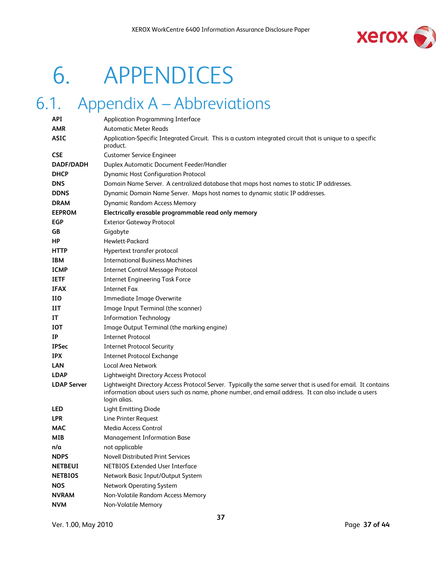

# 6. APPENDICES

### 6.1. Appendix A – Abbreviations

| <b>API</b>         | Application Programming Interface                                                                                                                                                                                                 |
|--------------------|-----------------------------------------------------------------------------------------------------------------------------------------------------------------------------------------------------------------------------------|
| AMR                | <b>Automatic Meter Reads</b>                                                                                                                                                                                                      |
| <b>ASIC</b>        | Application-Specific Integrated Circuit. This is a custom integrated circuit that is unique to a specific<br>product.                                                                                                             |
| <b>CSE</b>         | <b>Customer Service Engineer</b>                                                                                                                                                                                                  |
| DADF/DADH          | <b>Duplex Automatic Document Feeder/Handler</b>                                                                                                                                                                                   |
| <b>DHCP</b>        | <b>Dynamic Host Configuration Protocol</b>                                                                                                                                                                                        |
| <b>DNS</b>         | Domain Name Server. A centralized database that maps host names to static IP addresses.                                                                                                                                           |
| <b>DDNS</b>        | Dynamic Domain Name Server. Maps host names to dynamic static IP addresses.                                                                                                                                                       |
| <b>DRAM</b>        | <b>Dynamic Random Access Memory</b>                                                                                                                                                                                               |
| <b>EEPROM</b>      | Electrically erasable programmable read only memory                                                                                                                                                                               |
| <b>EGP</b>         | <b>Exterior Gateway Protocol</b>                                                                                                                                                                                                  |
| GB                 | Gigabyte                                                                                                                                                                                                                          |
| НP                 | Hewlett-Packard                                                                                                                                                                                                                   |
| <b>HTTP</b>        | Hypertext transfer protocol                                                                                                                                                                                                       |
| <b>IBM</b>         | <b>International Business Machines</b>                                                                                                                                                                                            |
| <b>ICMP</b>        | <b>Internet Control Message Protocol</b>                                                                                                                                                                                          |
| <b>IETF</b>        | <b>Internet Engineering Task Force</b>                                                                                                                                                                                            |
| <b>IFAX</b>        | <b>Internet Fax</b>                                                                                                                                                                                                               |
| HО                 | <b>Immediate Image Overwrite</b>                                                                                                                                                                                                  |
| IIT                | Image Input Terminal (the scanner)                                                                                                                                                                                                |
| IT                 | <b>Information Technology</b>                                                                                                                                                                                                     |
| <b>IOT</b>         | Image Output Terminal (the marking engine)                                                                                                                                                                                        |
| IP                 | <b>Internet Protocol</b>                                                                                                                                                                                                          |
| <b>IPSec</b>       | <b>Internet Protocol Security</b>                                                                                                                                                                                                 |
| <b>IPX</b>         | <b>Internet Protocol Exchange</b>                                                                                                                                                                                                 |
| <b>LAN</b>         | Local Area Network                                                                                                                                                                                                                |
| <b>LDAP</b>        | Lightweight Directory Access Protocol                                                                                                                                                                                             |
| <b>LDAP Server</b> | Lightweight Directory Access Protocol Server. Typically the same server that is used for email. It contains<br>information about users such as name, phone number, and email address. It can also include a users<br>login alias. |
| <b>LED</b>         | <b>Light Emitting Diode</b>                                                                                                                                                                                                       |
| <b>LPR</b>         | Line Printer Request                                                                                                                                                                                                              |
| <b>MAC</b>         | Media Access Control                                                                                                                                                                                                              |
| MIB                | Management Information Base                                                                                                                                                                                                       |
| n/a                | not applicable                                                                                                                                                                                                                    |
| <b>NDPS</b>        | Novell Distributed Print Services                                                                                                                                                                                                 |
| <b>NETBEUI</b>     | <b>NETBIOS Extended User Interface</b>                                                                                                                                                                                            |
| <b>NETBIOS</b>     | Network Basic Input/Output System                                                                                                                                                                                                 |
| <b>NOS</b>         | <b>Network Operating System</b>                                                                                                                                                                                                   |
| <b>NVRAM</b>       | Non-Volatile Random Access Memory                                                                                                                                                                                                 |
| <b>NVM</b>         | Non-Volatile Memory                                                                                                                                                                                                               |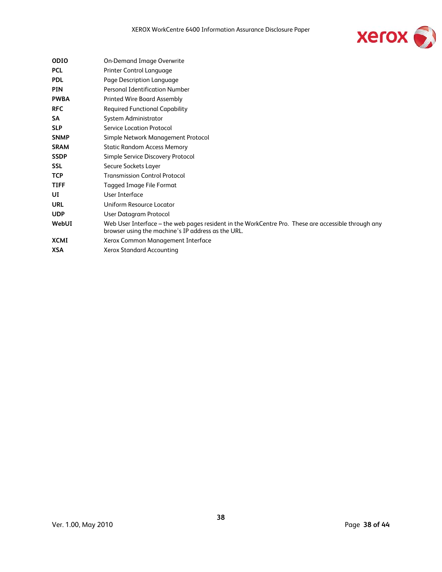

| <b>ODIO</b> | <b>On-Demand Image Overwrite</b>                                                                                                                          |
|-------------|-----------------------------------------------------------------------------------------------------------------------------------------------------------|
| <b>PCL</b>  | Printer Control Language                                                                                                                                  |
| <b>PDL</b>  | Page Description Language                                                                                                                                 |
| <b>PIN</b>  | Personal Identification Number                                                                                                                            |
| <b>PWBA</b> | <b>Printed Wire Board Assembly</b>                                                                                                                        |
| <b>RFC</b>  | <b>Required Functional Capability</b>                                                                                                                     |
| <b>SA</b>   | System Administrator                                                                                                                                      |
| <b>SLP</b>  | <b>Service Location Protocol</b>                                                                                                                          |
| <b>SNMP</b> | Simple Network Management Protocol                                                                                                                        |
| <b>SRAM</b> | <b>Static Random Access Memory</b>                                                                                                                        |
| <b>SSDP</b> | Simple Service Discovery Protocol                                                                                                                         |
| <b>SSL</b>  | Secure Sockets Layer                                                                                                                                      |
| <b>TCP</b>  | <b>Transmission Control Protocol</b>                                                                                                                      |
| <b>TIFF</b> | <b>Tagged Image File Format</b>                                                                                                                           |
| UI          | User Interface                                                                                                                                            |
| <b>URL</b>  | Uniform Resource Locator                                                                                                                                  |
| <b>UDP</b>  | User Datagram Protocol                                                                                                                                    |
| WebUI       | Web User Interface – the web pages resident in the WorkCentre Pro. These are accessible through any<br>browser using the machine's IP address as the URL. |
| <b>XCMI</b> | Xerox Common Management Interface                                                                                                                         |
| XSA         | Xerox Standard Accounting                                                                                                                                 |
|             |                                                                                                                                                           |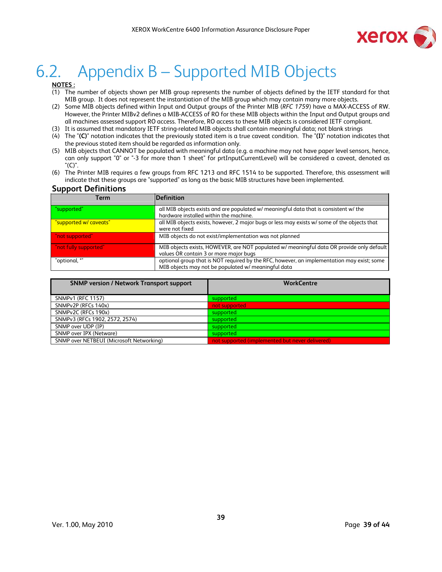

### 6.2. Appendix B – Supported MIB Objects

#### **NOTES :**

- (1) The number of objects shown per MIB group represents the number of objects defined by the IETF standard for that MIB group. It does not represent the instantiation of the MIB group which may contain many more objects.
- (2) Some MIB objects defined within Input and Output groups of the Printer MIB (*RFC 1759*) have a MAX-ACCESS of RW. However, the Printer MIBv2 defines a MIB-ACCESS of RO for these MIB objects within the Input and Output groups and all machines assessed support RO access. Therefore, RO access to these MIB objects is considered IETF compliant.
- (3) It is assumed that mandatory IETF string-related MIB objects shall contain meaningful data; not blank strings
- (4) The "**(C)**" notation indicates that the previously stated item is a true caveat condition. The "**(I)**" notation indicates that the previous stated item should be regarded as information only.
- (5) MIB objects that CANNOT be populated with meaningful data (e.g. a machine may not have paper level sensors, hence, can only support "0" or "-3 for more than 1 sheet" for prtInputCurrentLevel) will be considered a caveat, denoted as "(C)".
- (6) The Printer MIB requires a few groups from RFC 1213 and RFC 1514 to be supported. Therefore, this assessment will indicate that these groups are "supported" as long as the basic MIB structures have been implemented.

#### **Support Definitions**

| . .<br><b>Term</b>     | Definition                                                                                                                                        |
|------------------------|---------------------------------------------------------------------------------------------------------------------------------------------------|
| "supported"            | all MIB objects exists and are populated w/ meaningful data that is consistent w/ the<br>hardware installed within the machine.                   |
| "supported w/ caveats" | all MIB objects exists, however, 2 major bugs or less may exists w/ some of the objects that<br>were not fixed                                    |
| "not supported"        | MIB objects do not exist/implementation was not planned                                                                                           |
| "not fully supported"  | MIB objects exists, HOWEVER, are NOT populated w/ meaningful data OR provide only default<br>values OR contain 3 or more major bugs               |
| "optional, *"          | optional group that is NOT required by the RFC, however, an implementation may exist; some<br>MIB objects may not be populated w/ meaningful data |

| <b>SNMP version / Network Transport support</b> | <b>WorkCentre</b>                               |
|-------------------------------------------------|-------------------------------------------------|
| <b>SNMPv1 (RFC 1157)</b>                        | supported                                       |
| SNMPv2P (RFCs 140x)                             | not supported                                   |
| SNMPv2C (RFCs 190x)                             | supported                                       |
| SNMPv3 (RFCs 1902, 2572, 2574)                  | supported                                       |
| SNMP over UDP (IP)                              | supported                                       |
| SNMP over IPX (Netware)                         | supported                                       |
| SNMP over NETBEUI (Microsoft Networking)        | not supported (implemented but never delivered) |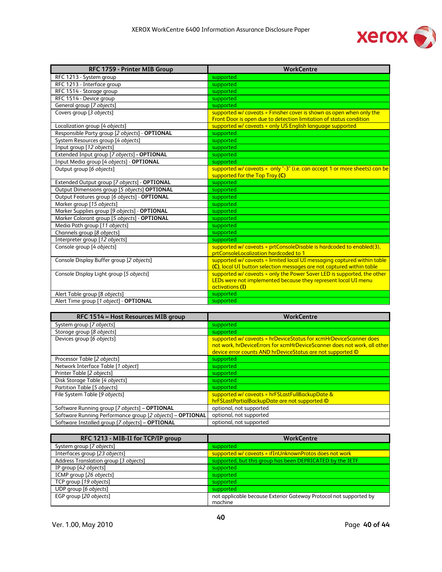

| RFC 1759 - Printer MIB Group                   | <b>WorkCentre</b>                                                                                                                                            |
|------------------------------------------------|--------------------------------------------------------------------------------------------------------------------------------------------------------------|
| RFC 1213 - System group                        | supported                                                                                                                                                    |
| RFC 1213 - Interface group                     | supported                                                                                                                                                    |
| RFC 1514 - Storage group                       | supported                                                                                                                                                    |
| RFC 1514 - Device group                        | supported                                                                                                                                                    |
| General group [7 objects]                      | supported                                                                                                                                                    |
| Covers group [3 objects]                       | supported w/ caveats = Finisher cover is shown as open when only the<br>Front Door is open due to detection limitation of status condition                   |
| Localization group [4 objects]                 | supported w/ caveats = only US English language supported                                                                                                    |
| Responsible Party group [2 objects] - OPTIONAL | supported                                                                                                                                                    |
| System Resources group [4 objects]             | supported                                                                                                                                                    |
| Input group [12 objects]                       | supported                                                                                                                                                    |
| Extended Input group [7 objects] - OPTIONAL    | supported                                                                                                                                                    |
| Input Media group [4 objects] - OPTIONAL       | supported                                                                                                                                                    |
| Output group [6 objects]                       | supported w/ caveats = only "-3" (i.e. can accept 1 or more sheets) can be                                                                                   |
|                                                | supported for the Top Tray (C)                                                                                                                               |
| Extended Output group [7 objects] - OPTIONAL   | supported                                                                                                                                                    |
| Output Dimensions group [5 objects] OPTIONAL   | supported                                                                                                                                                    |
| Output Features group [6 objects] - OPTIONAL   | supported                                                                                                                                                    |
| Marker group [15 objects]                      | supported                                                                                                                                                    |
| Marker Supplies group [9 objects] - OPTIONAL   | supported                                                                                                                                                    |
| Marker Colorant group [5 objects] - OPTIONAL   | supported                                                                                                                                                    |
| Media Path group [11 objects]                  | supported                                                                                                                                                    |
| Channels group [8 objects]                     | supported                                                                                                                                                    |
| Interpreter group [12 objects]                 | supported                                                                                                                                                    |
| Console group [4 objects]                      | supported w/ caveats = prtConsoleDisable is hardcoded to enabled(3),<br>prtConsoleLocalization hardcoded to 1                                                |
| Console Display Buffer group [2 objects]       | supported w/ caveats = limited local UI messaging captured within table<br>(C), local UI button selection messages are not captured within table             |
| Console Display Light group [5 objects]        | supported w/ caveats = only the Power Saver LED is supported, the other<br>LEDs were not implemented because they represent local UI menu<br>activations (I) |
| Alert Table group [8 objects]                  | supported                                                                                                                                                    |
| Alert Time group [1 object] - OPTIONAL         | supported                                                                                                                                                    |

| RFC 1514 - Host Resources MIB group                       | <b>WorkCentre</b>                                                                                                                                                                                           |
|-----------------------------------------------------------|-------------------------------------------------------------------------------------------------------------------------------------------------------------------------------------------------------------|
| System group [7 objects]                                  | supported                                                                                                                                                                                                   |
| Storage group [8 objects]                                 | supported                                                                                                                                                                                                   |
| Devices group [6 objects]                                 | supported w/ caveats = hrDeviceStatus for xcmHrDeviceScanner does<br>not work, hrDeviceErrors for xcmHrDeviceScanner does not work, all other<br>device error counts AND hrDeviceStatus are not supported © |
| Processor Table [2 objects]                               | supported                                                                                                                                                                                                   |
| Network Interface Table [1 object]                        | supported                                                                                                                                                                                                   |
| Printer Table [2 objects]                                 | supported                                                                                                                                                                                                   |
| Disk Storage Table [4 objects]                            | supported                                                                                                                                                                                                   |
| Partition Table [5 objects]                               | supported                                                                                                                                                                                                   |
| File System Table [9 objects]                             | supported w/ caveats = hrFSLastFullBackupDate &<br>hrFSLastPartialBackupDate are not supported ©                                                                                                            |
| Software Running group [7 objects] - OPTIONAL             | optional, not supported                                                                                                                                                                                     |
| Software Running Performance group [2 objects] - OPTIONAL | optional, not supported                                                                                                                                                                                     |
| Software Installed group [7 objects] - OPTIONAL           | optional, not supported                                                                                                                                                                                     |

| RFC 1213 - MIB-II for TCP/IP group    | <b>WorkCentre</b>                                                 |
|---------------------------------------|-------------------------------------------------------------------|
| System group [7 objects]              | supported                                                         |
| Interfaces group [23 objects]         | supported w/ caveats = ifInUnknownProtos does not work            |
| Address Translation group [3 objects] | supported, but this group has been DEPRICATED by the IETF         |
| IP group [42 objects]                 | supported                                                         |
| ICMP group [26 objects]               | supported                                                         |
| TCP group [19 objects]                | supported                                                         |
| UDP group [6 objects]                 | supported                                                         |
| EGP group [20 objects]                | not applicable because Exterior Gateway Protocol not supported by |
|                                       | machine                                                           |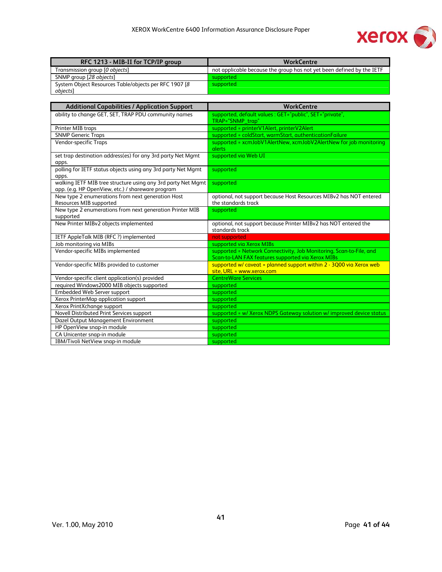

| RFC 1213 - MIB-II for TCP/IP group                     | <b>WorkCentre</b>                                                     |
|--------------------------------------------------------|-----------------------------------------------------------------------|
| Transmission group [0 objects]                         | not applicable because the group has not yet been defined by the IETF |
| SNMP group [28 objects]                                | supported                                                             |
| System Object Resources Table/objects per RFC 1907 [8] | supported                                                             |
| objects]                                               |                                                                       |

| <b>Additional Capabilities / Application Support</b>                         | <b>WorkCentre</b>                                                                                                        |
|------------------------------------------------------------------------------|--------------------------------------------------------------------------------------------------------------------------|
| ability to change GET, SET, TRAP PDU community names                         | supported, default values : GET="public", SET="private",<br>TRAP="SNMP_trap"                                             |
| Printer MIB traps                                                            | supported = printerV1Alert, printerV2Alert                                                                               |
| <b>SNMP Generic Traps</b>                                                    | supported = coldStart, warmStart, authenticationFailure                                                                  |
| Vendor-specific Traps                                                        | supported = xcmJobV1AlertNew, xcmJobV2AlertNew for job monitoring<br>alerts                                              |
| set trap destination address(es) for any 3rd party Net Mgmt<br>apps.         | supported via Web UI                                                                                                     |
| polling for IETF status objects using any 3rd party Net Mgmt<br>apps.        | supported                                                                                                                |
| walking IETF MIB tree structure using any 3rd party Net Mgmt                 | supported                                                                                                                |
| app. (e.g. HP OpenView, etc.) / shareware program                            |                                                                                                                          |
| New type 2 enumerations from next generation Host<br>Resources MIB supported | optional, not support because Host Resources MIBv2 has NOT entered<br>the standards track                                |
| New type 2 enumerations from next generation Printer MIB<br>supported        | supported                                                                                                                |
| New Printer MIBv2 objects implemented                                        | optional, not support because Printer MIBv2 has NOT entered the<br>standards track                                       |
| IETF AppleTalk MIB (RFC ?) implemented                                       | not supported                                                                                                            |
| Job monitoring via MIBs                                                      | supported via Xerox MIBs                                                                                                 |
| Vendor-specific MIBs implemented                                             | supported = Network Connectivity, Job Monitoring, Scan-to-File, and<br>Scan-to-LAN FAX features supported via Xerox MIBs |
| Vendor-specific MIBs provided to customer                                    | supported $w/$ caveat = planned support within $2 - 3Q00$ via Xerox web<br>site, URL = www.xerox.com                     |
| Vendor-specific client application(s) provided                               | <b>CentreWare Services</b>                                                                                               |
| required Windows2000 MIB objects supported                                   | supported                                                                                                                |
| Embedded Web Server support                                                  | supported                                                                                                                |
| Xerox PrinterMap application support                                         | supported                                                                                                                |
| Xerox PrintXchange support                                                   | supported                                                                                                                |
| Novell Distributed Print Services support                                    | supported = w/ Xerox NDPS Gateway solution w/ improved device status                                                     |
| Dazel Output Management Environment                                          | supported                                                                                                                |
| HP OpenView snap-in module                                                   | supported                                                                                                                |
| CA Unicenter snap-in module                                                  | supported                                                                                                                |
| IBM/Tivoli NetView snap-in module                                            | supported                                                                                                                |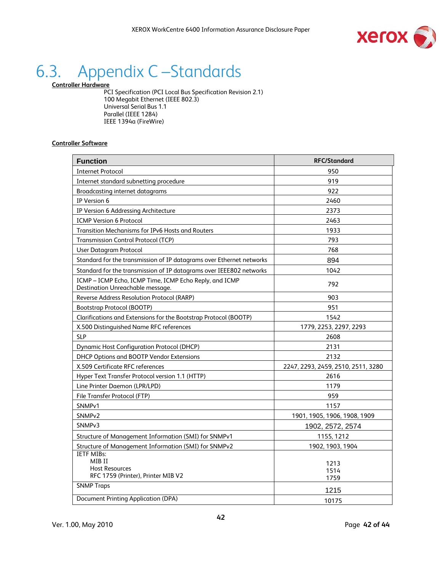

### 6.3. Appendix C –Standards

**Controller Hardware**

PCI Specification (PCI Local Bus Specification Revision 2.1) 100 Megabit Ethernet (IEEE 802.3) Universal Serial Bus 1.1 Parallel (IEEE 1284) IEEE 1394a (FireWire)

#### **Controller Software**

| <b>Function</b>                                                                            | <b>RFC/Standard</b>                |
|--------------------------------------------------------------------------------------------|------------------------------------|
| <b>Internet Protocol</b>                                                                   | 950                                |
| Internet standard subnetting procedure                                                     | 919                                |
| <b>Broadcasting internet datagrams</b>                                                     | 922                                |
| IP Version 6                                                                               | 2460                               |
| IP Version 6 Addressing Architecture                                                       | 2373                               |
| <b>ICMP Version 6 Protocol</b>                                                             | 2463                               |
| Transition Mechanisms for IPv6 Hosts and Routers                                           | 1933                               |
| <b>Transmission Control Protocol (TCP)</b>                                                 | 793                                |
| <b>User Datagram Protocol</b>                                                              | 768                                |
| Standard for the transmission of IP datagrams over Ethernet networks                       | 894                                |
| Standard for the transmission of IP datagrams over IEEE802 networks                        | 1042                               |
| ICMP - ICMP Echo, ICMP Time, ICMP Echo Reply, and ICMP<br>Destination Unreachable message. | 792                                |
| Reverse Address Resolution Protocol (RARP)                                                 | 903                                |
| Bootstrap Protocol (BOOTP)                                                                 | 951                                |
| Clarifications and Extensions for the Bootstrap Protocol (BOOTP)                           | 1542                               |
| X.500 Distinguished Name RFC references                                                    | 1779, 2253, 2297, 2293             |
| <b>SLP</b>                                                                                 | 2608                               |
| <b>Dynamic Host Configuration Protocol (DHCP)</b>                                          | 2131                               |
| DHCP Options and BOOTP Vendor Extensions                                                   | 2132                               |
| X.509 Certificate RFC references                                                           | 2247, 2293, 2459, 2510, 2511, 3280 |
| Hyper Text Transfer Protocol version 1.1 (HTTP)                                            | 2616                               |
| Line Printer Daemon (LPR/LPD)                                                              | 1179                               |
| File Transfer Protocol (FTP)                                                               | 959                                |
| SNMP <sub>v1</sub>                                                                         | 1157                               |
| SNMP <sub>v2</sub>                                                                         | 1901, 1905, 1906, 1908, 1909       |
| SNMP <sub>v3</sub>                                                                         | 1902, 2572, 2574                   |
| Structure of Management Information (SMI) for SNMPv1                                       | 1155, 1212                         |
| Structure of Management Information (SMI) for SNMPv2                                       | 1902, 1903, 1904                   |
| <b>IETF MIBs:</b><br>MIB II<br><b>Host Resources</b>                                       | 1213<br>1514                       |
| RFC 1759 (Printer), Printer MIB V2                                                         | 1759                               |
| <b>SNMP Traps</b>                                                                          | 1215                               |
| <b>Document Printing Application (DPA)</b>                                                 | 10175                              |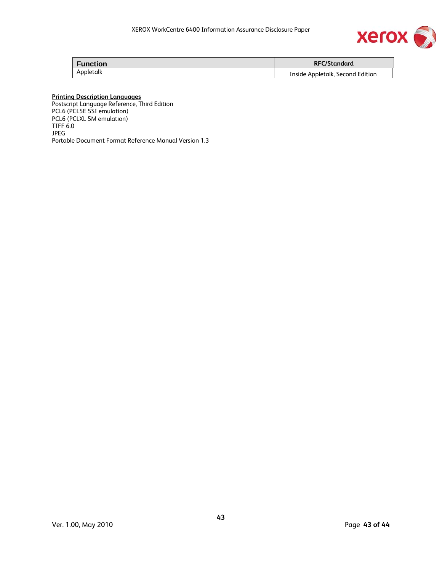

| <b>Function</b> | <b>RFC/Standard</b>              |
|-----------------|----------------------------------|
| Appletalk       | Inside Appletalk, Second Edition |

#### **Printing Description Languages**

Postscript Language Reference, Third Edition PCL6 (PCL5E 5SI emulation) PCL6 (PCLXL 5M emulation) TIFF 6.0 JPEG Portable Document Format Reference Manual Version 1.3